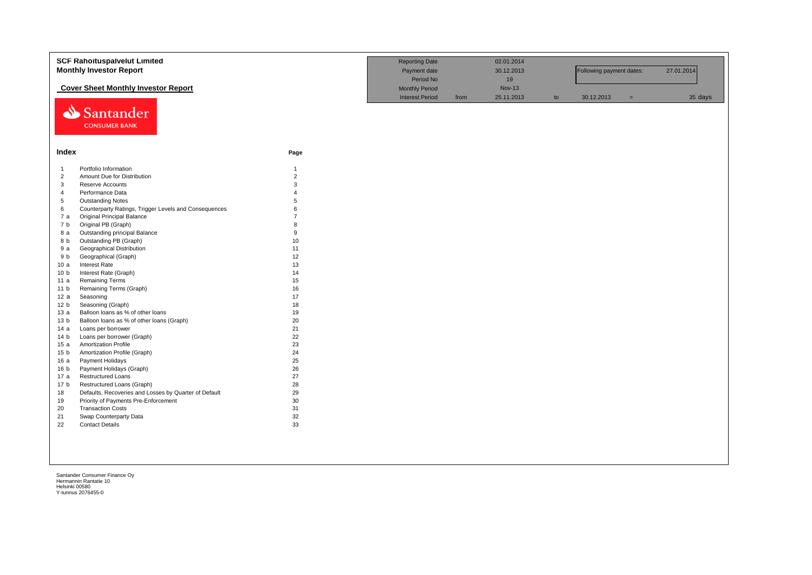|                 | <b>SCF Rahoituspalvelut Limited</b><br><b>Monthly Investor Report</b> |                | <b>Reporting Date</b><br>Payment date                        |      | 02.01.2014<br>30.12.2013          |    | Following payment dates: |     | 27.01.2014 |
|-----------------|-----------------------------------------------------------------------|----------------|--------------------------------------------------------------|------|-----------------------------------|----|--------------------------|-----|------------|
|                 | <b>Cover Sheet Monthly Investor Report</b>                            |                | Period No<br><b>Monthly Period</b><br><b>Interest Period</b> | from | 19<br><b>Nov-13</b><br>25.11.2013 | to | 30.12.2013               | $=$ | 35 days    |
| ⇘               | Santander<br><b>CONSUMER BANK</b>                                     |                |                                                              |      |                                   |    |                          |     |            |
| Index           |                                                                       | Page           |                                                              |      |                                   |    |                          |     |            |
| $\mathbf{1}$    | Portfolio Information                                                 | $\mathbf{1}$   |                                                              |      |                                   |    |                          |     |            |
| $\overline{2}$  | Amount Due for Distribution                                           | $\overline{2}$ |                                                              |      |                                   |    |                          |     |            |
| 3               | Reserve Accounts                                                      | $\mathbf{3}$   |                                                              |      |                                   |    |                          |     |            |
| $\overline{4}$  | Performance Data                                                      | $\Delta$       |                                                              |      |                                   |    |                          |     |            |
| $\sqrt{5}$      | <b>Outstanding Notes</b>                                              | 5              |                                                              |      |                                   |    |                          |     |            |
| 6               | Counterparty Ratings, Trigger Levels and Consequences                 | 6              |                                                              |      |                                   |    |                          |     |            |
| 7 a             | <b>Original Principal Balance</b>                                     | $\overline{7}$ |                                                              |      |                                   |    |                          |     |            |
| 7 b             | Original PB (Graph)                                                   | $\mathsf{R}$   |                                                              |      |                                   |    |                          |     |            |
| 8 a             | Outstanding principal Balance                                         | 9              |                                                              |      |                                   |    |                          |     |            |
| 8 b             | Outstanding PB (Graph)                                                | 10             |                                                              |      |                                   |    |                          |     |            |
| 9 a             | Geographical Distribution                                             | 11             |                                                              |      |                                   |    |                          |     |            |
| 9 b             | Geographical (Graph)                                                  | 12             |                                                              |      |                                   |    |                          |     |            |
| 10a             | Interest Rate                                                         | 13             |                                                              |      |                                   |    |                          |     |            |
| 10 <sub>b</sub> | Interest Rate (Graph)                                                 | 14             |                                                              |      |                                   |    |                          |     |            |
| 11 a            | <b>Remaining Terms</b>                                                | 15             |                                                              |      |                                   |    |                          |     |            |
| 11 <sub>b</sub> | Remaining Terms (Graph)                                               | 16             |                                                              |      |                                   |    |                          |     |            |
| 12a             | Seasoning                                                             | 17             |                                                              |      |                                   |    |                          |     |            |
| 12 <sub>b</sub> | Seasoning (Graph)                                                     | 18             |                                                              |      |                                   |    |                          |     |            |
| 13a             | Balloon loans as % of other loans                                     | 19             |                                                              |      |                                   |    |                          |     |            |
| 13 <sub>b</sub> | Balloon loans as % of other loans (Graph)                             | 20             |                                                              |      |                                   |    |                          |     |            |
| 14a             | Loans per borrower                                                    | 21             |                                                              |      |                                   |    |                          |     |            |
| 14 <sub>b</sub> | Loans per borrower (Graph)                                            | 22             |                                                              |      |                                   |    |                          |     |            |
| 15a             | <b>Amortization Profile</b>                                           | 23             |                                                              |      |                                   |    |                          |     |            |
| 15 <sub>b</sub> | Amortization Profile (Graph)                                          | 24             |                                                              |      |                                   |    |                          |     |            |
| 16a             | Payment Holidays                                                      | 25             |                                                              |      |                                   |    |                          |     |            |
| 16 <sub>b</sub> | Payment Holidays (Graph)                                              | 26             |                                                              |      |                                   |    |                          |     |            |
| 17 a            | <b>Restructured Loans</b>                                             | 27             |                                                              |      |                                   |    |                          |     |            |
| 17 <sub>b</sub> | Restructured Loans (Graph)                                            | 28             |                                                              |      |                                   |    |                          |     |            |
| 18              | Defaults, Recoveries and Losses by Quarter of Default                 | 29             |                                                              |      |                                   |    |                          |     |            |
| 19              | Priority of Payments Pre-Enforcement                                  | 30             |                                                              |      |                                   |    |                          |     |            |
| 20              | <b>Transaction Costs</b>                                              | 31             |                                                              |      |                                   |    |                          |     |            |
| 21              | Swap Counterparty Data                                                | 32             |                                                              |      |                                   |    |                          |     |            |
| 22              | <b>Contact Details</b>                                                | 33             |                                                              |      |                                   |    |                          |     |            |
|                 |                                                                       |                |                                                              |      |                                   |    |                          |     |            |
|                 |                                                                       |                |                                                              |      |                                   |    |                          |     |            |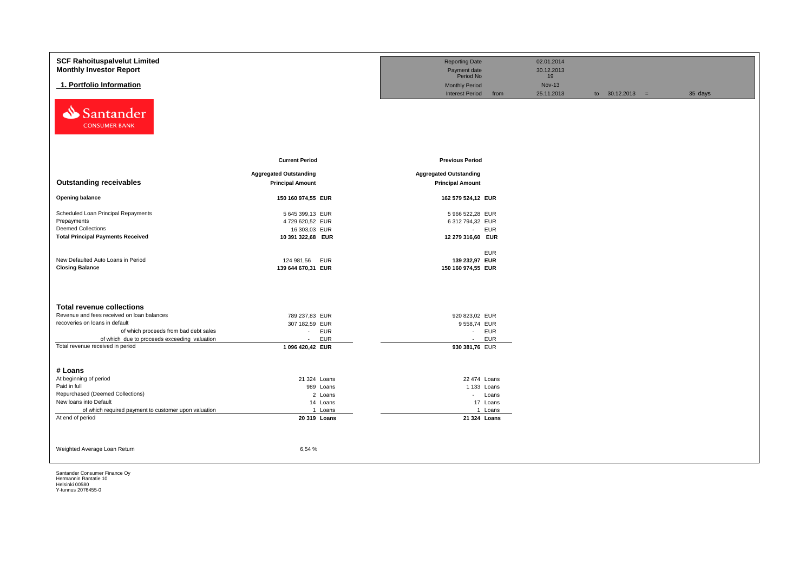| <b>SCF Rahoituspalvelut Limited</b>                  |                                                | <b>Reporting Date</b>                                   | 02.01.2014          |                   |         |
|------------------------------------------------------|------------------------------------------------|---------------------------------------------------------|---------------------|-------------------|---------|
| <b>Monthly Investor Report</b>                       |                                                | Payment date<br>Period No                               | 30.12.2013          |                   |         |
| 1. Portfolio Information                             |                                                |                                                         | 19<br><b>Nov-13</b> |                   |         |
|                                                      |                                                | <b>Monthly Period</b><br><b>Interest Period</b><br>from | 25.11.2013          |                   |         |
| Santander<br>⇘<br><b>CONSUMER BANK</b>               |                                                |                                                         |                     | to $30.12.2013 =$ | 35 days |
|                                                      | <b>Current Period</b>                          | <b>Previous Period</b>                                  |                     |                   |         |
|                                                      | <b>Aggregated Outstanding</b>                  | <b>Aggregated Outstanding</b>                           |                     |                   |         |
| <b>Outstanding receivables</b>                       | <b>Principal Amount</b>                        | <b>Principal Amount</b>                                 |                     |                   |         |
|                                                      |                                                |                                                         |                     |                   |         |
| <b>Opening balance</b>                               | 150 160 974,55 EUR                             | 162 579 524,12 EUR                                      |                     |                   |         |
| Scheduled Loan Principal Repayments                  | 5 645 399,13 EUR                               | 5 966 522,28 EUR                                        |                     |                   |         |
| Prepayments                                          | 4729 620,52 EUR                                | 6 312 794,32 EUR                                        |                     |                   |         |
| <b>Deemed Collections</b>                            | 16 303,03 EUR                                  | - EUR                                                   |                     |                   |         |
| <b>Total Principal Payments Received</b>             | 10 391 322,68 EUR                              | 12 279 316,60 EUR                                       |                     |                   |         |
|                                                      |                                                |                                                         |                     |                   |         |
| New Defaulted Auto Loans in Period                   |                                                | <b>EUR</b>                                              |                     |                   |         |
| <b>Closing Balance</b>                               | 124 981,56<br><b>EUR</b><br>139 644 670,31 EUR | 139 232,97 EUR<br>150 160 974,55 EUR                    |                     |                   |         |
|                                                      |                                                |                                                         |                     |                   |         |
|                                                      |                                                |                                                         |                     |                   |         |
| <b>Total revenue collections</b>                     |                                                |                                                         |                     |                   |         |
| Revenue and fees received on loan balances           | 789 237,83 EUR                                 | 920 823,02 EUR                                          |                     |                   |         |
| recoveries on loans in default                       | 307 182,59 EUR                                 | 9558,74 EUR                                             |                     |                   |         |
| of which proceeds from bad debt sales                | <b>EUR</b><br>$\sim 10$                        | - EUR                                                   |                     |                   |         |
| of which due to proceeds exceeding valuation         | <b>EUR</b><br>$\sim$                           | <b>EUR</b><br>$\sim$                                    |                     |                   |         |
| Total revenue received in period                     | 1 096 420,42 EUR                               | 930 381,76 EUR                                          |                     |                   |         |
|                                                      |                                                |                                                         |                     |                   |         |
| # Loans                                              |                                                |                                                         |                     |                   |         |
| At beginning of period                               | 21 324 Loans                                   | 22 474 Loans                                            |                     |                   |         |
| Paid in full                                         | 989 Loans                                      | 1 133 Loans                                             |                     |                   |         |
| Repurchased (Deemed Collections)                     | 2 Loans                                        | - Loans                                                 |                     |                   |         |
| New loans into Default                               | 14 Loans                                       | 17 Loans                                                |                     |                   |         |
| of which required payment to customer upon valuation | 1 Loans                                        | 1 Loans                                                 |                     |                   |         |
| At end of period                                     | 20 319 Loans                                   | 21 324 Loans                                            |                     |                   |         |
|                                                      |                                                |                                                         |                     |                   |         |
|                                                      |                                                |                                                         |                     |                   |         |
| Weighted Average Loan Return                         | 6,54 %                                         |                                                         |                     |                   |         |
|                                                      |                                                |                                                         |                     |                   |         |
|                                                      |                                                |                                                         |                     |                   |         |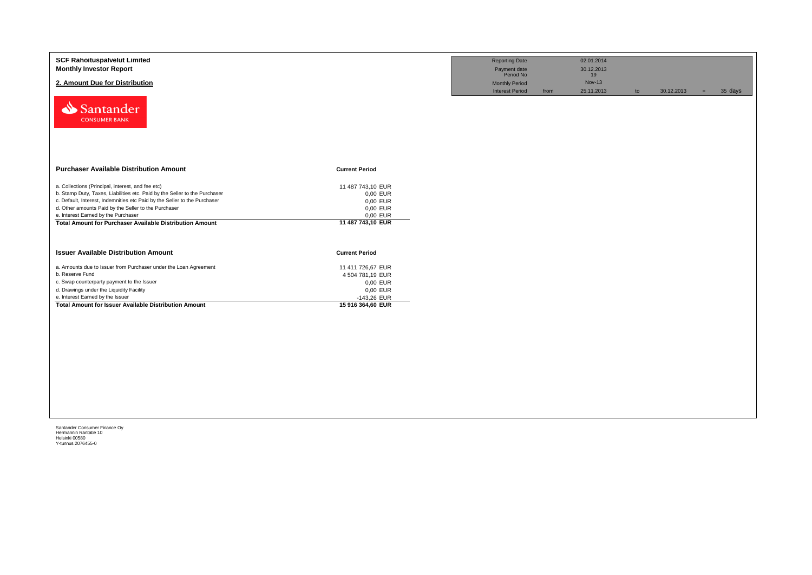| <b>SCF Rahoituspalvelut Limited</b><br><b>Monthly Investor Report</b><br>2. Amount Due for Distribution                           |                         | <b>Reporting Date</b><br>Payment date<br>Period No<br><b>Monthly Period</b><br><b>Interest Period</b> | from | 02.01.2014<br>30.12.2013<br>19<br><b>Nov-13</b><br>25.11.2013 | to | 30.12.2013 | $=$ | 35 days |
|-----------------------------------------------------------------------------------------------------------------------------------|-------------------------|-------------------------------------------------------------------------------------------------------|------|---------------------------------------------------------------|----|------------|-----|---------|
| Santander<br><b>CONSUMER BANK</b>                                                                                                 |                         |                                                                                                       |      |                                                               |    |            |     |         |
| <b>Purchaser Available Distribution Amount</b>                                                                                    | <b>Current Period</b>   |                                                                                                       |      |                                                               |    |            |     |         |
| a. Collections (Principal, interest, and fee etc)                                                                                 | 11 487 743,10 EUR       |                                                                                                       |      |                                                               |    |            |     |         |
| b. Stamp Duty, Taxes, Liabilities etc. Paid by the Seller to the Purchaser                                                        | 0,00 EUR                |                                                                                                       |      |                                                               |    |            |     |         |
| c. Default, Interest, Indemnities etc Paid by the Seller to the Purchaser<br>d. Other amounts Paid by the Seller to the Purchaser | 0,00 EUR<br>0,00 EUR    |                                                                                                       |      |                                                               |    |            |     |         |
| e. Interest Earned by the Purchaser                                                                                               | 0,00 EUR                |                                                                                                       |      |                                                               |    |            |     |         |
| <b>Total Amount for Purchaser Available Distribution Amount</b>                                                                   | 11 487 743,10 EUR       |                                                                                                       |      |                                                               |    |            |     |         |
| <b>Issuer Available Distribution Amount</b>                                                                                       | <b>Current Period</b>   |                                                                                                       |      |                                                               |    |            |     |         |
| a. Amounts due to Issuer from Purchaser under the Loan Agreement                                                                  | 11 411 726,67 EUR       |                                                                                                       |      |                                                               |    |            |     |         |
| b. Reserve Fund                                                                                                                   | 4 504 781,19 EUR        |                                                                                                       |      |                                                               |    |            |     |         |
| c. Swap counterparty payment to the Issuer                                                                                        | 0,00 EUR                |                                                                                                       |      |                                                               |    |            |     |         |
| d. Drawings under the Liquidity Facility<br>e. Interest Earned by the Issuer                                                      | 0,00 EUR<br>-143,26 EUR |                                                                                                       |      |                                                               |    |            |     |         |
| Total Amount for Issuer Available Distribution Amount                                                                             | 15 916 364,60 EUR       |                                                                                                       |      |                                                               |    |            |     |         |
|                                                                                                                                   |                         |                                                                                                       |      |                                                               |    |            |     |         |
|                                                                                                                                   |                         |                                                                                                       |      |                                                               |    |            |     |         |
|                                                                                                                                   |                         |                                                                                                       |      |                                                               |    |            |     |         |
|                                                                                                                                   |                         |                                                                                                       |      |                                                               |    |            |     |         |
|                                                                                                                                   |                         |                                                                                                       |      |                                                               |    |            |     |         |
|                                                                                                                                   |                         |                                                                                                       |      |                                                               |    |            |     |         |
|                                                                                                                                   |                         |                                                                                                       |      |                                                               |    |            |     |         |
|                                                                                                                                   |                         |                                                                                                       |      |                                                               |    |            |     |         |
|                                                                                                                                   |                         |                                                                                                       |      |                                                               |    |            |     |         |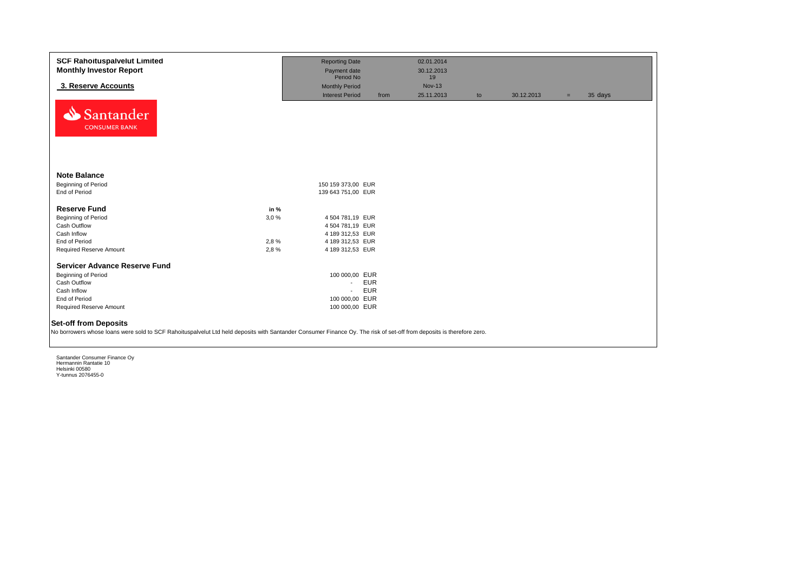| <b>SCF Rahoituspalvelut Limited</b><br><b>Monthly Investor Report</b><br>3. Reserve Accounts<br>Santander                                                                                                                                                                                                                                                                              |                              | <b>Reporting Date</b><br>Payment date<br>Period No<br><b>Monthly Period</b><br><b>Interest Period</b>              | from | 02.01.2014<br>30.12.2013<br>19<br><b>Nov-13</b><br>25.11.2013 | to | 30.12.2013 | $=$ | 35 days |  |  |  |
|----------------------------------------------------------------------------------------------------------------------------------------------------------------------------------------------------------------------------------------------------------------------------------------------------------------------------------------------------------------------------------------|------------------------------|--------------------------------------------------------------------------------------------------------------------|------|---------------------------------------------------------------|----|------------|-----|---------|--|--|--|
| <b>CONSUMER BANK</b><br><b>Note Balance</b><br>Beginning of Period<br>End of Period                                                                                                                                                                                                                                                                                                    |                              | 150 159 373,00 EUR<br>139 643 751,00 EUR                                                                           |      |                                                               |    |            |     |         |  |  |  |
| <b>Reserve Fund</b><br><b>Beginning of Period</b><br>Cash Outflow<br>Cash Inflow<br>End of Period<br>Required Reserve Amount<br>Servicer Advance Reserve Fund<br>Beginning of Period                                                                                                                                                                                                   | in %<br>3,0%<br>2,8%<br>2,8% | 4 504 781,19 EUR<br>4 504 781,19 EUR<br>4 189 312,53 EUR<br>4 189 312,53 EUR<br>4 189 312,53 EUR<br>100 000,00 EUR |      |                                                               |    |            |     |         |  |  |  |
| <b>EUR</b><br>Cash Outflow<br>$\sim$<br><b>EUR</b><br>Cash Inflow<br>$\overline{\phantom{a}}$<br>100 000,00 EUR<br>End of Period<br>100 000,00 EUR<br>Required Reserve Amount<br><b>Set-off from Deposits</b><br>No borrowers whose loans were sold to SCF Rahoituspalvelut Ltd held deposits with Santander Consumer Finance Oy. The risk of set-off from deposits is therefore zero. |                              |                                                                                                                    |      |                                                               |    |            |     |         |  |  |  |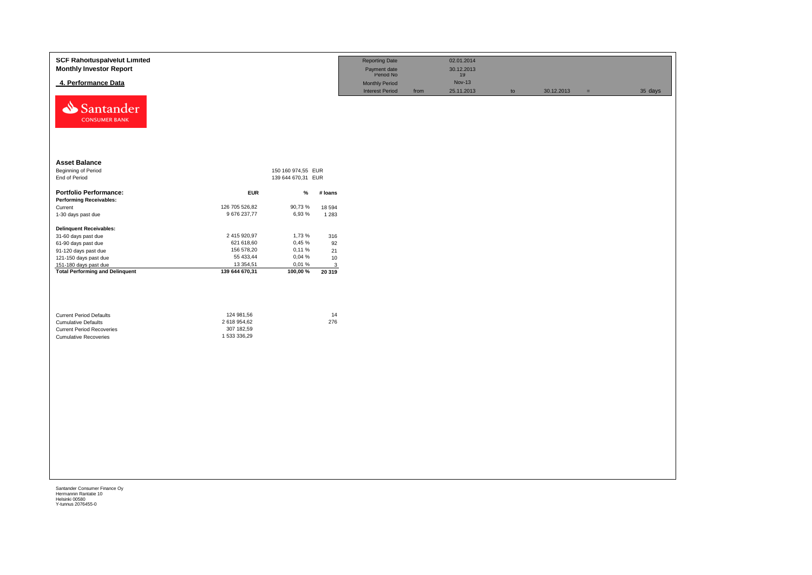| <b>Asset Balance</b><br>Beginning of Period<br>150 160 974,55 EUR<br>End of Period<br>139 644 670,31 EUR<br><b>Portfolio Performance:</b><br><b>EUR</b><br>$\%$<br># loans<br><b>Performing Receivables:</b><br>126 705 526,82<br>90,73%<br>18 5 94<br>Current<br>9 676 237,77<br>6,93 %<br>1 2 8 3<br>1-30 days past due<br><b>Delinquent Receivables:</b><br>2 415 920,97<br>1,73 %<br>31-60 days past due<br>316<br>621 618,60<br>0,45 %<br>92<br>61-90 days past due<br>156 578,20<br>0,11%<br>21<br>91-120 days past due<br>55 433,44<br>0,04 %<br>10<br>121-150 days past due<br>13 354,51<br>0,01%<br>151-180 days past due<br>$\mathbf{3}$<br><b>Total Performing and Delinquent</b><br>139 644 670,31<br>100,00%<br>20 319<br>124 981,56<br>14<br><b>Current Period Defaults</b><br>2 618 954,62<br>276<br><b>Cumulative Defaults</b><br>307 182,59<br><b>Current Period Recoveries</b><br>1 533 336,29<br><b>Cumulative Recoveries</b> | <b>SCF Rahoituspalvelut Limited</b><br><b>Monthly Investor Report</b><br>4. Performance Data<br>Santander<br><b>CONSUMER BANK</b> |  | <b>Reporting Date</b><br>Payment date<br>Period No<br><b>Monthly Period</b><br><b>Interest Period</b> | from | 02.01.2014<br>$\begin{array}{r} 30.12.2013 \\ 19 \end{array}$<br><b>Nov-13</b><br>25.11.2013 | to | 30.12.2013 | $\qquad \qquad =$ | 35 days |
|--------------------------------------------------------------------------------------------------------------------------------------------------------------------------------------------------------------------------------------------------------------------------------------------------------------------------------------------------------------------------------------------------------------------------------------------------------------------------------------------------------------------------------------------------------------------------------------------------------------------------------------------------------------------------------------------------------------------------------------------------------------------------------------------------------------------------------------------------------------------------------------------------------------------------------------------------|-----------------------------------------------------------------------------------------------------------------------------------|--|-------------------------------------------------------------------------------------------------------|------|----------------------------------------------------------------------------------------------|----|------------|-------------------|---------|
|                                                                                                                                                                                                                                                                                                                                                                                                                                                                                                                                                                                                                                                                                                                                                                                                                                                                                                                                                  |                                                                                                                                   |  |                                                                                                       |      |                                                                                              |    |            |                   |         |
|                                                                                                                                                                                                                                                                                                                                                                                                                                                                                                                                                                                                                                                                                                                                                                                                                                                                                                                                                  |                                                                                                                                   |  |                                                                                                       |      |                                                                                              |    |            |                   |         |
|                                                                                                                                                                                                                                                                                                                                                                                                                                                                                                                                                                                                                                                                                                                                                                                                                                                                                                                                                  |                                                                                                                                   |  |                                                                                                       |      |                                                                                              |    |            |                   |         |
|                                                                                                                                                                                                                                                                                                                                                                                                                                                                                                                                                                                                                                                                                                                                                                                                                                                                                                                                                  |                                                                                                                                   |  |                                                                                                       |      |                                                                                              |    |            |                   |         |
|                                                                                                                                                                                                                                                                                                                                                                                                                                                                                                                                                                                                                                                                                                                                                                                                                                                                                                                                                  |                                                                                                                                   |  |                                                                                                       |      |                                                                                              |    |            |                   |         |
|                                                                                                                                                                                                                                                                                                                                                                                                                                                                                                                                                                                                                                                                                                                                                                                                                                                                                                                                                  |                                                                                                                                   |  |                                                                                                       |      |                                                                                              |    |            |                   |         |
|                                                                                                                                                                                                                                                                                                                                                                                                                                                                                                                                                                                                                                                                                                                                                                                                                                                                                                                                                  |                                                                                                                                   |  |                                                                                                       |      |                                                                                              |    |            |                   |         |
|                                                                                                                                                                                                                                                                                                                                                                                                                                                                                                                                                                                                                                                                                                                                                                                                                                                                                                                                                  |                                                                                                                                   |  |                                                                                                       |      |                                                                                              |    |            |                   |         |
|                                                                                                                                                                                                                                                                                                                                                                                                                                                                                                                                                                                                                                                                                                                                                                                                                                                                                                                                                  |                                                                                                                                   |  |                                                                                                       |      |                                                                                              |    |            |                   |         |
|                                                                                                                                                                                                                                                                                                                                                                                                                                                                                                                                                                                                                                                                                                                                                                                                                                                                                                                                                  |                                                                                                                                   |  |                                                                                                       |      |                                                                                              |    |            |                   |         |
|                                                                                                                                                                                                                                                                                                                                                                                                                                                                                                                                                                                                                                                                                                                                                                                                                                                                                                                                                  |                                                                                                                                   |  |                                                                                                       |      |                                                                                              |    |            |                   |         |
|                                                                                                                                                                                                                                                                                                                                                                                                                                                                                                                                                                                                                                                                                                                                                                                                                                                                                                                                                  |                                                                                                                                   |  |                                                                                                       |      |                                                                                              |    |            |                   |         |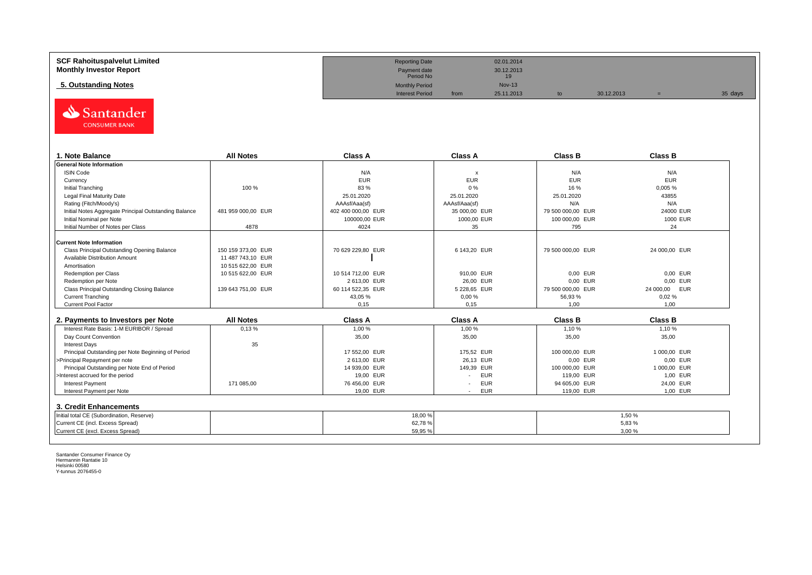| <b>SCF Rahoituspalvelut Limited</b> | <b>Reporting Date</b>     |      | 02.01.2014    |            |         |
|-------------------------------------|---------------------------|------|---------------|------------|---------|
| <b>Monthly Investor Report</b>      | Payment date<br>Period No |      | 30.12.2013    |            |         |
| 5. Outstanding Notes                | <b>Monthly Period</b>     |      | <b>Nov-13</b> |            |         |
|                                     | <b>Interest Period</b>    | from | 25.11.2013    | 30.12.2013 | 35 days |



| 1. Note Balance                                       | <b>All Notes</b>   | <b>Class A</b>     | <b>Class A</b>            | <b>Class B</b>    | <b>Class B</b> |
|-------------------------------------------------------|--------------------|--------------------|---------------------------|-------------------|----------------|
| <b>General Note Information</b>                       |                    |                    |                           |                   |                |
| <b>ISIN Code</b>                                      |                    | N/A                | $\boldsymbol{\mathsf{x}}$ | N/A               | N/A            |
| Currency                                              |                    | <b>EUR</b>         | <b>EUR</b>                | <b>EUR</b>        | <b>EUR</b>     |
| Initial Tranching                                     | 100 %              | 83 %               | 0%                        | 16 %              | 0,005%         |
| Legal Final Maturity Date                             |                    | 25.01.2020         | 25.01.2020                | 25.01.2020        | 43855          |
| Rating (Fitch/Moody's)                                |                    | AAAsf/Aaa(sf)      | AAAsf/Aaa(sf)             | N/A               | N/A            |
| Initial Notes Aggregate Principal Outstanding Balance | 481 959 000.00 EUR | 402 400 000.00 EUR | 35 000.00 EUR             | 79 500 000.00 EUR | 24000 EUR      |
| Initial Nominal per Note                              |                    | 100000,00 EUR      | 1000,00 EUR               | 100 000,00 EUR    | 1000 EUR       |
| Initial Number of Notes per Class                     | 4878               | 4024               | 35                        | 795               | 24             |
|                                                       |                    |                    |                           |                   |                |
| Current Note Information                              |                    |                    |                           |                   |                |
| Class Principal Outstanding Opening Balance           | 150 159 373.00 EUR | 70 629 229.80 EUR  | 6 143.20 EUR              | 79 500 000.00 EUR | 24 000,00 EUR  |
| Available Distribution Amount                         | 11 487 743.10 EUR  |                    |                           |                   |                |
| Amortisation                                          | 10 515 622.00 EUR  |                    |                           |                   |                |
| Redemption per Class                                  | 10 515 622,00 EUR  | 10 514 712,00 EUR  | 910,00 EUR                | 0,00 EUR          | 0.00 EUR       |
| Redemption per Note                                   |                    | 2 613.00 EUR       | 26,00 EUR                 | 0.00 EUR          | 0.00 EUR       |
| Class Principal Outstanding Closing Balance           | 139 643 751,00 EUR | 60 114 522,35 EUR  | 5 228,65 EUR              | 79 500 000,00 EUR | 24 000,00 EUR  |
| <b>Current Tranching</b>                              |                    | 43,05 %            | 0,00%                     | 56,93 %           | 0.02%          |
| Current Pool Factor                                   |                    | 0,15               | 0,15                      | 1.00              | 1,00           |

| 2. Payments to Investors per Note                  | <b>All Notes</b> | <b>Class A</b> | <b>Class A</b>                         | <b>Class B</b> | <b>Class B</b> |
|----------------------------------------------------|------------------|----------------|----------------------------------------|----------------|----------------|
| Interest Rate Basis: 1-M EURIBOR / Spread          | 0.13%            | 1.00 %         | 1.00 %                                 | 1.10%          | 1.10 %         |
| Day Count Convention                               |                  | 35,00          | 35,00                                  | 35,00          | 35,00          |
| <b>Interest Days</b>                               | 35               |                |                                        |                |                |
| Principal Outstanding per Note Beginning of Period |                  | 17 552.00 EUR  | 175.52 EUR                             | 100 000,00 EUR | 1 000.00 EUR   |
| >Principal Repayment per note                      |                  | 2 613.00 EUR   | 26.13 EUR                              | 0,00 EUR       | 0.00 EUR       |
| Principal Outstanding per Note End of Period       |                  | 14 939.00 EUR  | 149.39 EUR                             | 100 000,00 EUR | 1 000.00 EUR   |
| >Interest accrued for the period                   |                  | 19.00 EUR      | <b>EUR</b>                             | 119.00 EUR     | 1.00 EUR       |
| <b>Interest Payment</b>                            | 171 085.00       | 76 456.00 EUR  | <b>EUR</b><br>$\overline{\phantom{a}}$ | 94 605.00 EUR  | 24.00 EUR      |
| Interest Payment per Note                          |                  | 19,00 EUR      | <b>EUR</b>                             | 119,00 EUR     | 1,00 EUR       |
| 3. Credit Enhancements                             |                  |                |                                        |                |                |
| Initial total CE (Subordination, Reserve)          |                  | 18,00 %        |                                        |                | 1.50 %         |
| Current CE (incl. Excess Spread)                   |                  | 62,78%         |                                        |                | 5,83%          |
| Current CE (excl. Excess Spread)                   |                  | 59,95 %        |                                        |                | 3,00 %         |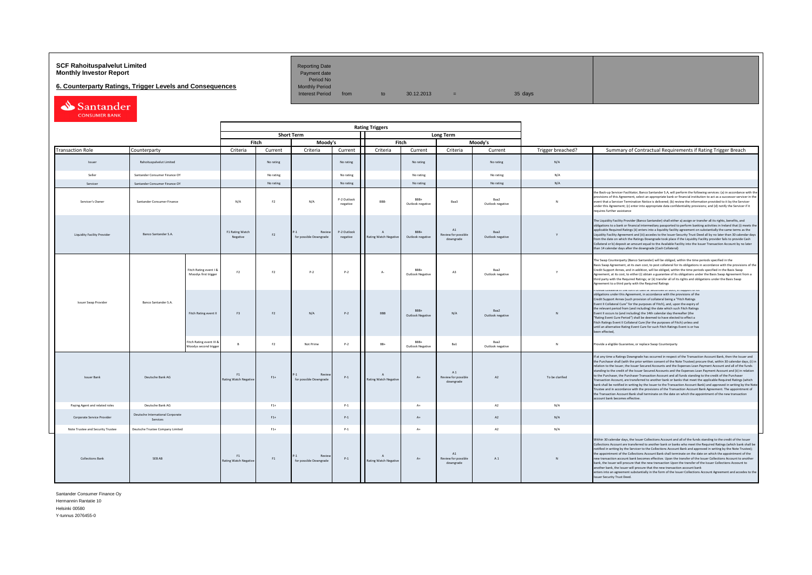# **SCF Rahoituspalvelut Limited Accord Reporting Date**<br>**Monthly Investor Report** Payment date **Monthly Investor Report**

**6. Counterparty Ratings, Trigger Levels and Consequences** 

Period No<br>Monthly Period

Interest Period from to  $30.12.2013 = 35 \text{ days}$ 

Santander

|  |                                    |                                              |                                                   |                                    |                |                                           | <b>Rating Triggers</b>  |                                              |                          |                                        |                          |                   |                                                                                                                                                                                                                                                                                                                                                                                                                                                                                                                                                                                                                                                                                                                                                                                                                                                                                                                                                                                                                                                                                                      |
|--|------------------------------------|----------------------------------------------|---------------------------------------------------|------------------------------------|----------------|-------------------------------------------|-------------------------|----------------------------------------------|--------------------------|----------------------------------------|--------------------------|-------------------|------------------------------------------------------------------------------------------------------------------------------------------------------------------------------------------------------------------------------------------------------------------------------------------------------------------------------------------------------------------------------------------------------------------------------------------------------------------------------------------------------------------------------------------------------------------------------------------------------------------------------------------------------------------------------------------------------------------------------------------------------------------------------------------------------------------------------------------------------------------------------------------------------------------------------------------------------------------------------------------------------------------------------------------------------------------------------------------------------|
|  |                                    |                                              |                                                   |                                    |                | <b>Short Term</b>                         |                         |                                              |                          | Long Term                              |                          |                   |                                                                                                                                                                                                                                                                                                                                                                                                                                                                                                                                                                                                                                                                                                                                                                                                                                                                                                                                                                                                                                                                                                      |
|  |                                    |                                              |                                                   |                                    | Fitch          | Moody's                                   |                         | Fitch                                        |                          |                                        | Moodv's                  |                   |                                                                                                                                                                                                                                                                                                                                                                                                                                                                                                                                                                                                                                                                                                                                                                                                                                                                                                                                                                                                                                                                                                      |
|  | <b>Transaction Role</b>            | Counterparty                                 |                                                   | Criteria                           | Current        | Criteria                                  | Current                 | Criteria                                     | Current                  | Criteria                               | Current                  | Trigger breached? | Summary of Contractual Requirements if Rating Trigger Breach                                                                                                                                                                                                                                                                                                                                                                                                                                                                                                                                                                                                                                                                                                                                                                                                                                                                                                                                                                                                                                         |
|  | Issuer                             | Rahoituspalvelut Limited                     |                                                   |                                    | No rating      |                                           | No rating               |                                              | No rating                |                                        | No rating                | N/A               |                                                                                                                                                                                                                                                                                                                                                                                                                                                                                                                                                                                                                                                                                                                                                                                                                                                                                                                                                                                                                                                                                                      |
|  | Seller                             | Santander Consumer Finance OY                |                                                   |                                    | No rating      |                                           | No rating               |                                              | No rating                |                                        | No rating                | N/A               |                                                                                                                                                                                                                                                                                                                                                                                                                                                                                                                                                                                                                                                                                                                                                                                                                                                                                                                                                                                                                                                                                                      |
|  | Services                           | Santander Consumer Finance OY                |                                                   |                                    | No rating      |                                           | No rating               |                                              | No rating                |                                        | No rating                | N/A               |                                                                                                                                                                                                                                                                                                                                                                                                                                                                                                                                                                                                                                                                                                                                                                                                                                                                                                                                                                                                                                                                                                      |
|  | Servicer's Owner                   | Santander Consumer Finance                   |                                                   | N/A                                | F <sub>2</sub> | N/A                                       | P-2 Outlook<br>negative | <b>RRR</b>                                   | RRR+<br>Outlook negative | Baa3                                   | Raa2<br>Outlook negative | $\mathbf{N}$      | the Back-up Servicer Facilitator, Banco Santander S.A, will perform the following services: (a) in accordance with th<br>rovisions of this Agreement, select an appropriate bank or financial institution to act as a successor servicer in the<br>event that a Servicer Termination Notice is delivered; (b) review the information provided to it by the Servicer<br>under this Agreement; (c) enter into appropriate data confidentiality provisions; and (d) notify the Servicer if it<br>requires further assistance                                                                                                                                                                                                                                                                                                                                                                                                                                                                                                                                                                            |
|  | <b>Liquidity Facility Provider</b> | Banco Santander S.A.                         |                                                   | F1 Rating Watch<br>Negative        | F <sub>2</sub> | Revie<br>for possible Downgrade           | P-2 Outlook<br>negative | <b>Rating Watch Negative</b>                 | RRR+<br>Outlook negative | A1<br>Review for possible<br>downgrade | Raa2<br>Outlook negative | Y                 | The Liquidity Facility Provider (Banco Santander) shall either a) assign or transfer all its rights, benefits, and<br>obligations to a bank or financial intermediary passported to perform banking activities in Ireland that (i) meets the<br>applicable Required Ratings (ii) enters into a liquidity facility agreement on substantially the same terms as the<br>Liquidity Facility Agreement and (iii) accedes to the Issuer Security Trust Deed all by no later than 30 calendar days<br>from the date on which the Ratings Downgrade took place if the Liquidity Facility provider fails to provide Cash<br>Collateral or b) deposit an amount equal to the Available Facility into the Issuer Transaction Account by no later<br>than 14 calendar days after the downgrade (Cash Collateral)                                                                                                                                                                                                                                                                                                |
|  |                                    |                                              | Fitch Rating event I &<br>Moodys first trigger    | F <sub>2</sub>                     | F <sub>2</sub> | $P-2$                                     | $P-2$                   | $A -$                                        | BBB+<br>Outlook Negative | A3                                     | Baa2<br>Outlook negative | Y                 | The Swap Counterparty (Banco Santander) will be obliged, within the time periods specified in the<br>Basis Swap Agreement, at its own cost, to post collateral for its obligations in accordance with the provisions of the<br>Credit Support Annex, and in addition, will be obliged, within the time periods specified in the Basis Swap<br>Agreement, at its cost, to either (i) obtain a guarantee of its obligations under the Basis Swap Agreement from a<br>third party with the Required Ratings; or (ii) transfer all of its rights and obligations under the Basis Swap<br>Agreement to a third party with the Required Ratings                                                                                                                                                                                                                                                                                                                                                                                                                                                            |
|  | Issuer Swap Provider               | Banco Santander S.A.                         | Fitch Rating event II                             | F3                                 | F2             | N/A                                       | $P-2$                   | BBB                                          | BBB+<br>Outlook Negative | N/A                                    | Baa2<br>Outlook negative | $\mathbf{N}$      | oviue conaterarin the ionn or cash or securities or both, in support or its<br>bligations under this Agreement, in accordance with the provisions of the<br>Credit Support Annex (such provision of collateral being a "Fitch Ratings<br>Event II Collateral Cure" for the purposes of Fitch), and, upon the expiry of<br>the relevant period from (and including) the date which such Fitch Ratings<br>Event II occurs to (and including) the 14th calendar day thereafter (the<br>"Rating Event Cure Period") shall be deemed to have elected to effect a<br>Fitch Ratings Event II Collateral Cure (for the purposes of Fitch) unless and<br>until an alternative Rating Event Cure for such Fitch Ratings Event is or has<br>been effected,                                                                                                                                                                                                                                                                                                                                                      |
|  |                                    |                                              | Fitch Rating event III &<br>Moodys second trigger |                                    | F <sub>2</sub> | Not Prime                                 | $P-2$                   | $BB+$                                        | RRR+<br>Outlook Negative | Ba1                                    | Baa2<br>Outlook negative | N                 | Provide a eligible Guarantee, or replace Swap Counterparty                                                                                                                                                                                                                                                                                                                                                                                                                                                                                                                                                                                                                                                                                                                                                                                                                                                                                                                                                                                                                                           |
|  | <b>Issuer Bank</b>                 | Deutsche Bank AG                             |                                                   | F1<br><b>Rating Watch Negative</b> | $F1+$          | $P-1$<br>Revier<br>for possible Downgrade | $P-1$                   | $\mathbf{A}$<br><b>Rating Watch Negative</b> | $A+$                     | A1<br>Review for possible<br>downgrade | A2                       | To be clarified   | If at any time a Ratings Downgrade has occurred in respect of the Transaction Account Bank, then the Issuer and<br>the Purchaser shall (with the prior written consent of the Note Trustee) procure that, within 30 calendar days, (i) in<br>relation to the Issuer, the Issuer Secured Accounts and the Expenses Loan Payment Account and all of the funds<br>standing to the credit of the Issuer Secured Accounts and the Expenses Loan Payment Account and (ii) in relation<br>to the Purchaser, the Purchaser Transaction Account and all funds standing to the credit of the Purchaser<br>Transaction Account, are transferred to another bank or banks that meet the applicable Required Ratings (which<br>bank shall be notified in writing by the Issuer to the Transaction Account Bank) and approved in writing by the Note<br>Trustee and in accordance with the provisions of the Transaction Account Bank Agreement. The appointment of<br>the Transaction Account Bank shall terminate on the date on which the appointment of the new transaction<br>account bank becomes effective. |
|  | Paying Agent and related roles     | Deutsche Bank AG                             |                                                   |                                    | $F1+$          |                                           | $P-1$                   |                                              | $A+$                     |                                        | A2                       | N/A               |                                                                                                                                                                                                                                                                                                                                                                                                                                                                                                                                                                                                                                                                                                                                                                                                                                                                                                                                                                                                                                                                                                      |
|  | Corporate Service Provider         | Deutsche International Corporate<br>Services |                                                   |                                    | $F1+$          |                                           | $P-1$                   |                                              | $A +$                    |                                        | A2                       | N/A               |                                                                                                                                                                                                                                                                                                                                                                                                                                                                                                                                                                                                                                                                                                                                                                                                                                                                                                                                                                                                                                                                                                      |
|  | Note Trustee and Security Trustee  | Deutsche Trustee Company Limited             |                                                   |                                    | $F1+$          |                                           | $P-1$                   |                                              | $A+$                     |                                        | A2                       | N/A               |                                                                                                                                                                                                                                                                                                                                                                                                                                                                                                                                                                                                                                                                                                                                                                                                                                                                                                                                                                                                                                                                                                      |
|  | <b>Collections Bank</b>            | SEB AB                                       |                                                   | F1<br>Rating Watch Negative        | F1             | for possible Downgrade                    | $P-1$                   | Rating Watch Negative                        | $A+$                     | A1<br>Review for possible<br>downgrade | A1                       | $\mathbb{N}$      | Within 30 calendar days, the Issuer Collections Account and all of the funds standing to the credit of the Issuer<br>Collections Account are transferred to another bank or banks who meet the Required Ratings (which bank shall be<br>notified in writing by the Servicer to the Collections Account Bank and approved in writing by the Note Trustee);<br>he appointment of the Collections Account Bank shall terminate on the date on which the appointment of the<br>ew transaction account bank becomes effective. Upon the transfer of the Issuer Collections Account to another<br>bank, the Issuer will procure that the new transaction Upon the transfer of the Issuer Collections Acoount to<br>another hank the Issuer will procure that the new transaction account bank<br>enters into an agreement substantially in the form of the Issuer Collections Account Agreement and accedes to the<br>Issuer Security Trust Deed.                                                                                                                                                          |

Santander Consumer Finance Oy

Hermannin Rantatie 10 Helsinki 00580

Y-tunnus 2076455-0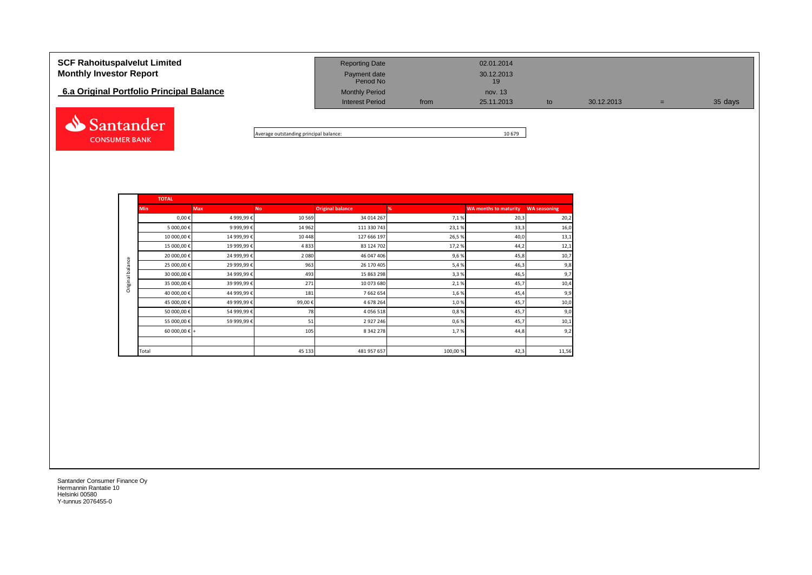| <b>SCF Rahoituspalvelut Limited</b><br><b>Monthly Investor Report</b><br>6.a Original Portfolio Principal Balance | <b>Reporting Date</b><br>Payment date<br>Period No<br><b>Monthly Period</b> |      | 02.01.2014<br>30.12.2013<br>19<br>nov. 13 |    |            |     |         |
|-------------------------------------------------------------------------------------------------------------------|-----------------------------------------------------------------------------|------|-------------------------------------------|----|------------|-----|---------|
|                                                                                                                   | <b>Interest Period</b>                                                      | from | 25.11.2013                                | to | 30.12.2013 | $=$ | 35 days |
| Santander                                                                                                         |                                                                             |      |                                           |    |            |     |         |

Average outstanding principal balance: 10 679

|                  | <b>TOTAL</b>           |            |           |                         |         |                              |                     |
|------------------|------------------------|------------|-----------|-------------------------|---------|------------------------------|---------------------|
|                  | <b>Min</b>             | <b>Max</b> | <b>No</b> | <b>Original balance</b> | %       | <b>WA months to maturity</b> | <b>WA seasoning</b> |
|                  | $0,00 \in$             | 4 999,99€  | 10 5 69   | 34 014 267              | 7,1%    | 20,3                         | 20,2                |
|                  | 5 000,00 €             | 9 999,99€  | 14 962    | 111 330 743             | 23,1%   | 33,3                         | 16,0                |
|                  | 10 000,00 €            | 14 999,99€ | 10 4 48   | 127 666 197             | 26,5%   | 40,0                         | 13,1                |
|                  | 15 000,00€             | 19 999,99€ | 4833      | 83 124 702              | 17,2%   | 44,2                         | 12,1                |
|                  | 20 000,00€             | 24 999,99€ | 2 0 8 0   | 46 047 406              | 9,6%    | 45,8                         | 10,7                |
| Original balance | 25 000,00€             | 29 999,99€ | 963       | 26 170 405              | 5,4%    | 46,3                         | 9,8                 |
|                  | 30 000,00 €            | 34 999,99€ | 493       | 15 863 298              | 3,3%    | 46,5                         | 9,7                 |
|                  | 35 000,00 €            | 39 999,99€ | 271       | 10 073 680              | 2,1%    | 45,7                         | 10,4                |
|                  | 40 000,00€             | 44 999,99€ | 181       | 7 662 654               | 1,6%    | 45,4                         | 9,9                 |
|                  | 45 000,00 €            | 49 999,99€ | 99,00€    | 4 678 264               | 1,0%    | 45,7                         | 10,0                |
|                  | 50 000,00 €            | 54 999,99€ | 78        | 4 0 5 6 5 1 8           | 0,8%    | 45,7                         | 9,0                 |
|                  | 55 000,00 €            | 59 999,99€ | 51        | 2 9 2 7 2 4 6           | 0,6%    | 45,7                         | 10,1                |
|                  | 60 000,00 $\epsilon$ + |            | 105       | 8 3 4 2 2 7 8           | 1,7%    | 44,8                         | 9,2                 |
|                  |                        |            |           |                         |         |                              |                     |
|                  | Total                  |            | 45 133    | 481 957 657             | 100,00% | 42,3                         | 11,56               |

Santander Consumer Finance Oy Hermannin Rantatie 10 Helsinki 00580 Y-tunnus 2076455-0

**CONSUMER BANK**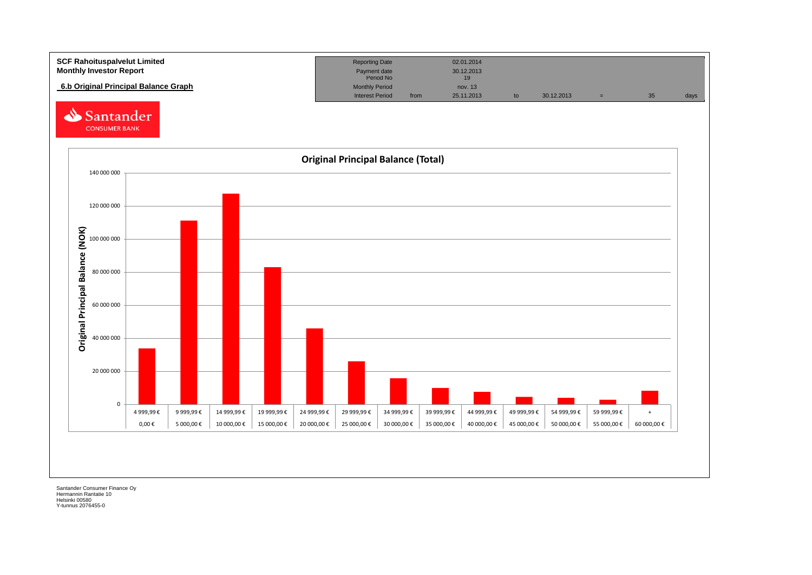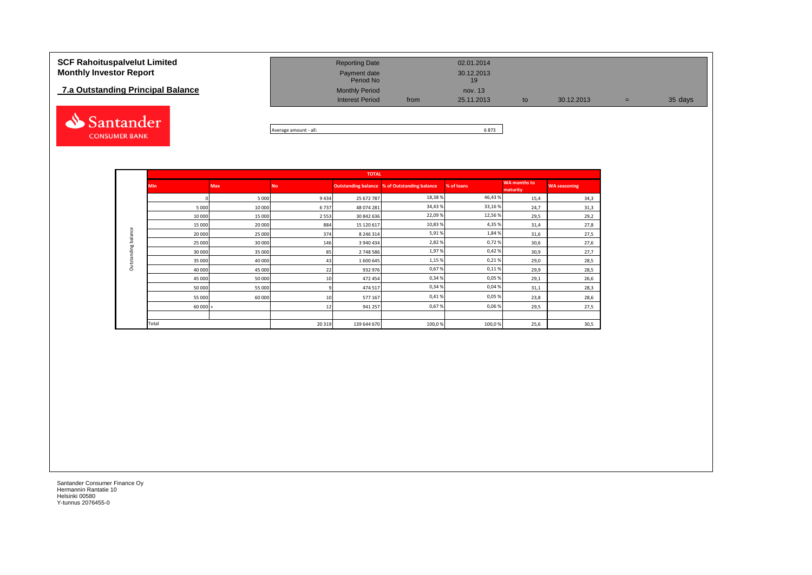## **7.a Outstanding Principal Balance**



| 7.a Outstanding Principal Balance<br><b>Monthly Period</b><br>nov. 13<br>35 days<br><b>Interest Period</b><br>25.11.2013<br>30.12.2013<br>from<br>to<br>$=$ | <b>SCF Rahoituspalvelut Limited</b><br><b>Monthly Investor Report</b> | <b>Reporting Date</b><br>Payment date<br>Period No | 02.01.2014<br>30.12.2013<br>19 |  |  |
|-------------------------------------------------------------------------------------------------------------------------------------------------------------|-----------------------------------------------------------------------|----------------------------------------------------|--------------------------------|--|--|
|                                                                                                                                                             |                                                                       |                                                    |                                |  |  |

Average amount - all: 6 873

|            |            |           | <b>TOTAL</b> |                                                     |            |                                 |                     |
|------------|------------|-----------|--------------|-----------------------------------------------------|------------|---------------------------------|---------------------|
| <b>Min</b> | <b>Max</b> | <b>No</b> |              | <b>Outstanding balance % of Outstanding balance</b> | % of loans | <b>WA</b> months to<br>maturity | <b>WA seasoning</b> |
|            | 5 0 0 0    | 9434      | 25 672 787   | 18,38%                                              | 46,43%     | 15,4                            | 34,3                |
| 5 0 0 0    | 10 000     | 6737      | 48 074 281   | 34,43%                                              | 33,16%     | 24,7                            | 31,3                |
| 10 000     | 15 000     | 2 5 5 3   | 30 842 636   | 22,09 %                                             | 12,56 %    | 29,5                            | 29,2                |
| 15 000     | 20 000     | 884       | 15 120 617   | 10,83 %                                             | 4,35%      | 31,4                            | 27,8                |
| 20 000     | 25 000     | 374       | 8 246 314    | 5,91%                                               | 1,84%      | 31,6                            | 27,5                |
| 25 000     | 30 000     | 146       | 3 940 434    | 2,82%                                               | 0,72%      | 30,6                            | 27,6                |
| 30 000     | 35 000     | 85        | 2748586      | 1,97%                                               | 0,42%      | 30,9                            | 27,7                |
| 35 000     | 40 000     | 43        | 1600645      | 1,15%                                               | 0,21%      | 29,0                            | 28,5                |
| 40 000     | 45 000     | 22        | 932 976      | 0,67%                                               | 0,11%      | 29,9                            | 28,5                |
| 45 000     | 50 000     | 10        | 472 454      | 0,34%                                               | 0,05%      | 29,1                            | 26,6                |
| 50 000     | 55 000     |           | 474 517      | 0,34%                                               | 0,04%      | 31,1                            | 28,3                |
| 55 000     | 60 000     | 10        | 577 167      | 0,41%                                               | 0,05%      | 23,8                            | 28,6                |
| $60000 +$  |            | 12        | 941 257      | 0,67%                                               | 0,06%      | 29,5                            | 27,5                |
|            |            |           |              |                                                     |            |                                 |                     |
| Total      |            | 20 319    | 139 644 670  | 100,0%                                              | 100,0%     | 25,6                            | 30,5                |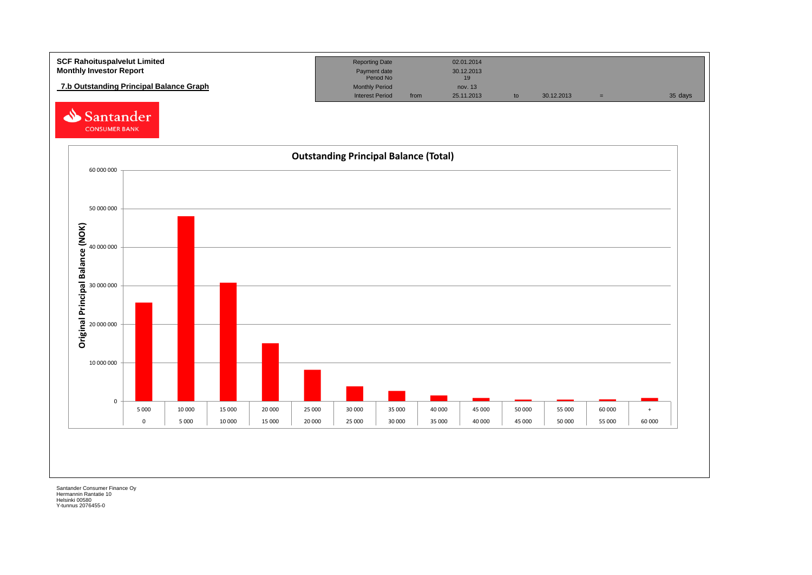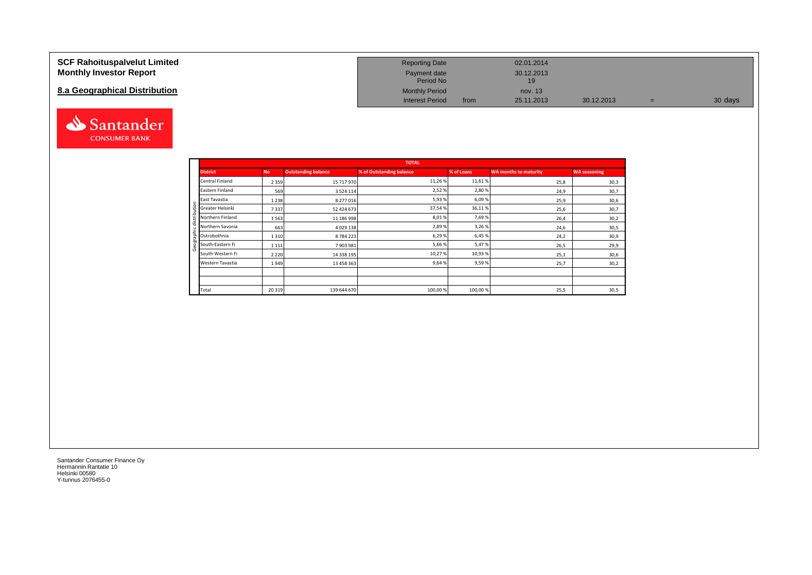#### **SCF Rahoituspalvelut Limited Monthly Investor Report**

## **8.a Geographical Distribution**



| <b>Reporting Date</b>     |      | 02.01.2014       |            |   |         |
|---------------------------|------|------------------|------------|---|---------|
| Payment date<br>Period No |      | 30.12.2013<br>19 |            |   |         |
| <b>Monthly Period</b>     |      | nov. 13          |            |   |         |
| <b>Interest Period</b>    | from | 25.11.2013       | 30.12.2013 | = | 30 days |

|                                                 |           |                            | <b>TOTAL</b>             |            |                       |                     |
|-------------------------------------------------|-----------|----------------------------|--------------------------|------------|-----------------------|---------------------|
| <b>District</b>                                 | <b>No</b> | <b>Outstanding balance</b> | % of Outstanding balance | % of Loans | WA months to maturity | <b>WA seasoning</b> |
| Central Finland                                 | 2 3 5 9   | 15 717 970                 | 11,26 %                  | 11,61 %    | 25,8                  | 30,3                |
| Eastern Finland                                 | 569       | 3 5 2 4 1 1 4              | 2,52%                    | 2,80%      | 24,9                  | 30,7                |
| East Tavastia                                   | 1 2 3 8   | 8 277 016                  | 5,93%                    | 6,09%      | 25,9                  | 30,6                |
| Greater Helsinki<br>Ë                           | 7337      | 52 424 673                 | 37,54 %                  | 36,11%     | 25,6                  | 30,7                |
| trib<br>Northern Finland<br>₩                   | 1563      | 11 186 998                 | 8,01%                    | 7,69%      | 26,4                  | 30,2                |
| Northern Savonia                                | 663       | 4 0 29 1 38                | 2,89%                    | 3,26 %     | 24,6                  | 30,5                |
| 훕<br>Ostrobothnia                               | 1 3 1 0   | 8784223                    | 6,29%                    | 6,45%      | 24,2                  | 30,9                |
| $\overline{50}$<br>South-Eastern Fi<br>$\Omega$ | 1 1 1 1   | 7 903 981                  | 5,66%                    | 5,47%      | 26,5                  | 29,9                |
| South-Western Fi                                | 2 2 2 0   | 14 338 195                 | 10,27%                   | 10,93%     | 25,1                  | 30,6                |
| Western Tavastia                                | 1949      | 13 458 363                 | 9,64 %                   | 9,59%      | 25,7                  | 30,2                |
|                                                 |           |                            |                          |            |                       |                     |
|                                                 |           |                            |                          |            |                       |                     |
| Total                                           | 20 319    | 139 644 670                | 100,00%                  | 100,00%    | 25,5                  | 30,5                |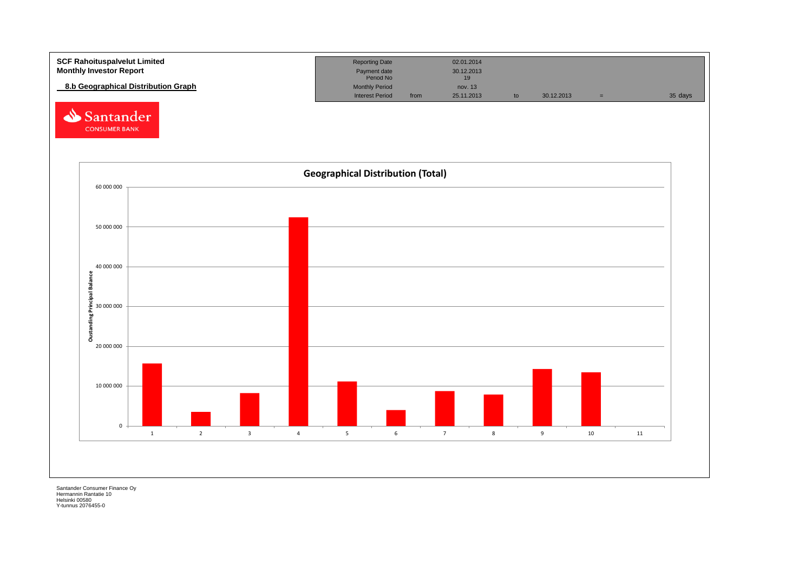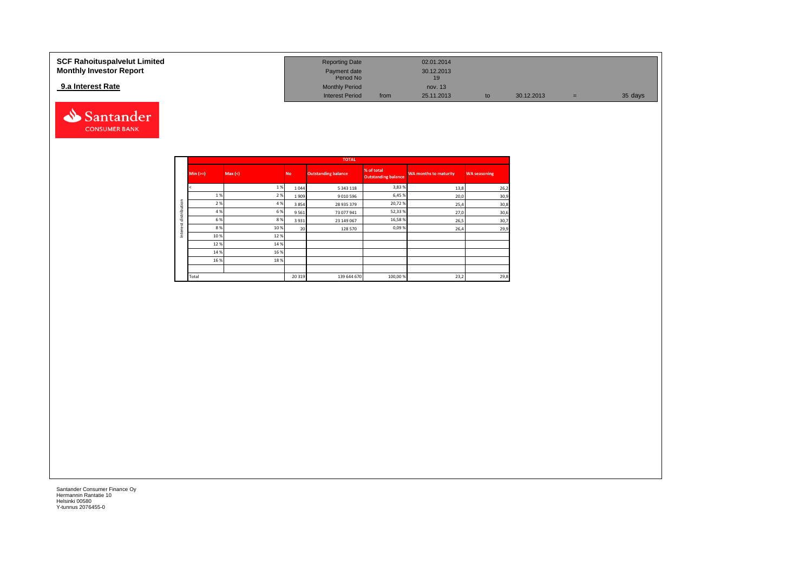### **9.a Interest Rate**



| <b>SCF Rahoituspalvelut Limited</b> | <b>Reporting Date</b>     |      | 02.01.2014       |    |            |     |         |
|-------------------------------------|---------------------------|------|------------------|----|------------|-----|---------|
| <b>Monthly Investor Report</b>      | Payment date<br>Period No |      | 30.12.2013<br>19 |    |            |     |         |
| 9.a Interest Rate                   | <b>Monthly Period</b>     |      | nov. 13          |    |            |     |         |
|                                     | <b>Interest Period</b>    | from | 25.11.2013       | to | 30.12.2013 | $=$ | 35 days |

|              |          |       |           | <b>TOTAL</b>               |                                          |                              |                     |
|--------------|----------|-------|-----------|----------------------------|------------------------------------------|------------------------------|---------------------|
|              | $Min (=$ | Max < | <b>No</b> | <b>Outstanding balance</b> | % of total<br><b>Outstanding balance</b> | <b>WA months to maturity</b> | <b>WA seasoning</b> |
|              |          | 1%    | 1044      | 5 343 118                  | 3,83%                                    | 13,8                         | 26,2                |
|              | 1%       | 2%    | 1909      | 9 0 10 5 9 6               | 6,45 %                                   | 20,0                         | 30,9                |
| distribution | 2 %      | 4 %   | 3854      | 28 935 379                 | 20,72%                                   | 25,4                         | 30,8                |
|              | 4 %      | 6%    | 9561      | 73 077 941                 | 52,33%                                   | 27,0                         | 30,6                |
|              | 6 %      | 8%    | 3931      | 23 149 067                 | 16,58%                                   | 26,5                         | 30,7                |
|              | 8%       | 10%   | 20        | 128 570                    | 0,09%                                    | 26,4                         | 29,9                |
| Interest     | 10%      | 12%   |           |                            |                                          |                              |                     |
|              | 12%      | 14 %  |           |                            |                                          |                              |                     |
|              | 14 %     | 16 %  |           |                            |                                          |                              |                     |
|              | 16 %     | 18%   |           |                            |                                          |                              |                     |
|              |          |       |           |                            |                                          |                              |                     |
|              | Total    |       | 20 319    | 139 644 670                | 100,00 %                                 | 23,2                         | 29,8                |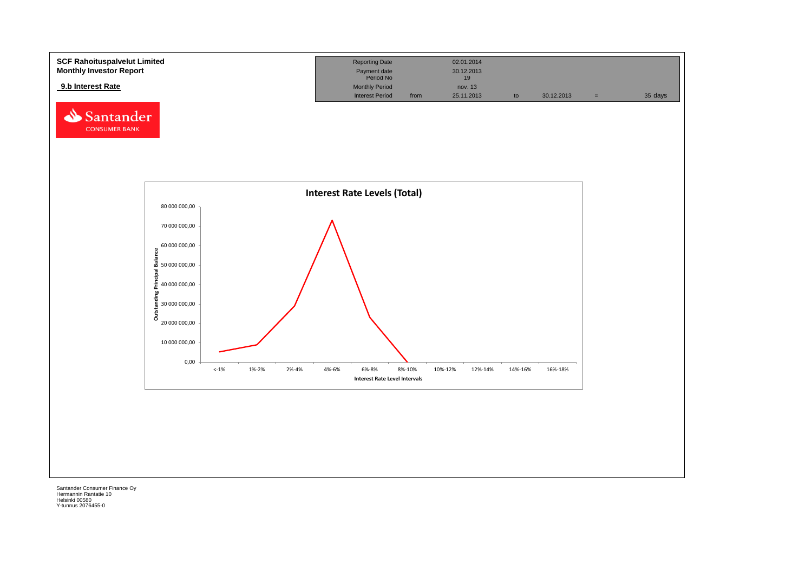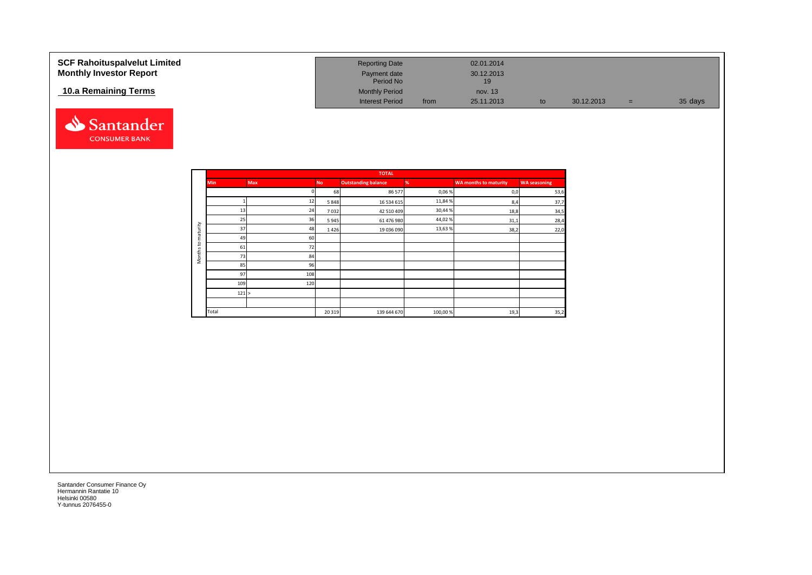| <b>SCF Rahoituspalvelut Limited</b><br><b>Monthly Investor Report</b> | <b>Reporting Date</b><br>Payment date<br>Period No |      | 02.01.2014<br>30.12.2013<br>19 |    |            |     |         |
|-----------------------------------------------------------------------|----------------------------------------------------|------|--------------------------------|----|------------|-----|---------|
| 10.a Remaining Terms                                                  | <b>Monthly Period</b>                              |      | nov. 13                        |    |            |     |         |
|                                                                       | <b>Interest Period</b>                             | from | 25.11.2013                     | to | 30.12.2013 | $=$ | 35 days |



|                     |            |            |           | <b>TOTAL</b>               |         |                              |                     |
|---------------------|------------|------------|-----------|----------------------------|---------|------------------------------|---------------------|
|                     | <b>Min</b> | <b>Max</b> | <b>No</b> | <b>Outstanding balance</b> | %       | <b>WA months to maturity</b> | <b>WA seasoning</b> |
|                     |            |            | 68        | 86 577                     | 0,06%   | 0,0                          | 53,6                |
|                     |            | 12         | 5848      | 16 534 615                 | 11,84%  | 8,4                          | 37,7                |
|                     | 13         | 24         | 7032      | 42 510 409                 | 30,44%  | 18,8                         | 34,5                |
|                     | 25         | 36         | 5945      | 61 476 980                 | 44,02%  | 31,1                         | 28,4                |
| maturity            | 37         | 48         | 1426      | 19 036 090                 | 13,63%  | 38,2                         | 22,0                |
|                     | 49         | 60         |           |                            |         |                              |                     |
| 5                   | 61         | 72         |           |                            |         |                              |                     |
| Months <sup>-</sup> | 73         | 84         |           |                            |         |                              |                     |
|                     | 85         | 96         |           |                            |         |                              |                     |
|                     | 97         | 108        |           |                            |         |                              |                     |
|                     | 109        | 120        |           |                            |         |                              |                     |
|                     | 121 >      |            |           |                            |         |                              |                     |
|                     |            |            |           |                            |         |                              |                     |
|                     | Total      |            | 20 319    | 139 644 670                | 100,00% | 19,3                         | 35,2                |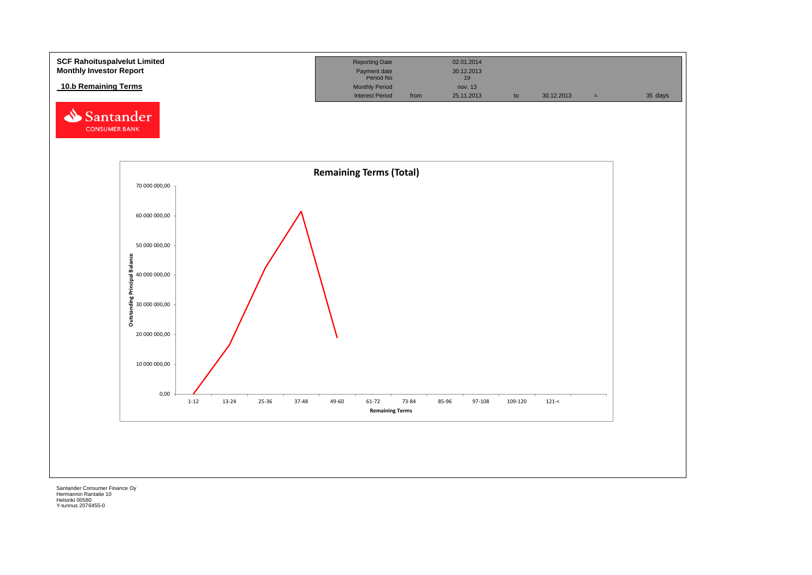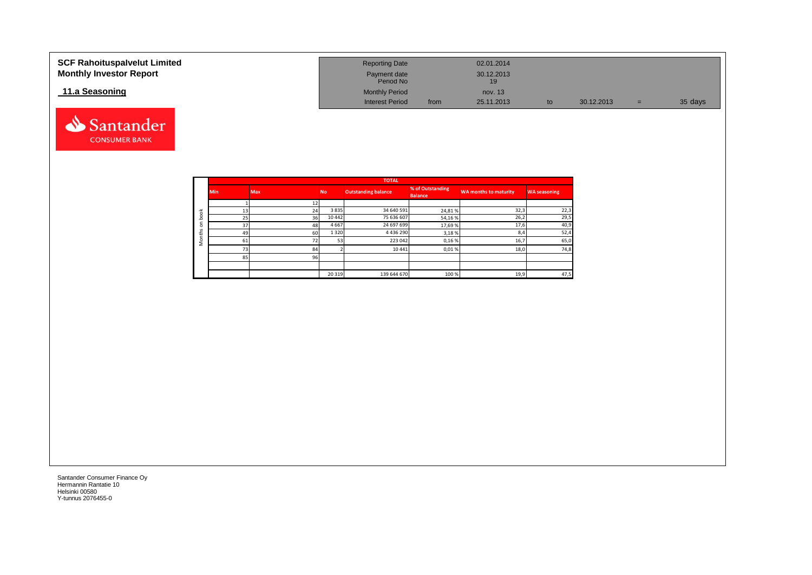| <b>SCF Rahoituspalvelut Limited</b><br><b>Monthly Investor Report</b> | <b>Reporting Date</b><br>Payment date<br>Period No |      | 02.01.2014<br>30.12.2013<br>19 |    |            |     |         |
|-----------------------------------------------------------------------|----------------------------------------------------|------|--------------------------------|----|------------|-----|---------|
| 11.a Seasoning                                                        | <b>Monthly Period</b>                              |      | nov. 13                        |    |            |     |         |
|                                                                       | <b>Interest Period</b>                             | from | 25.11.2013                     | to | 30.12.2013 | $=$ | 35 days |



Santander **CONSUMER BANK**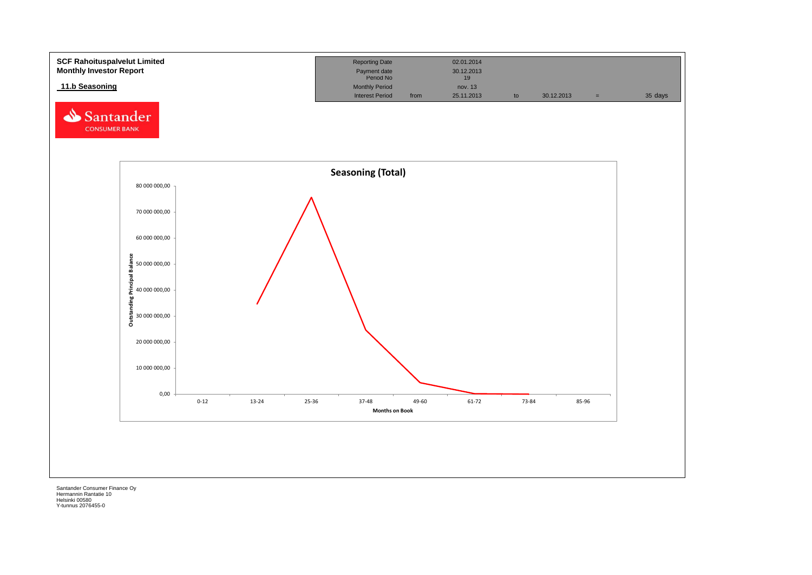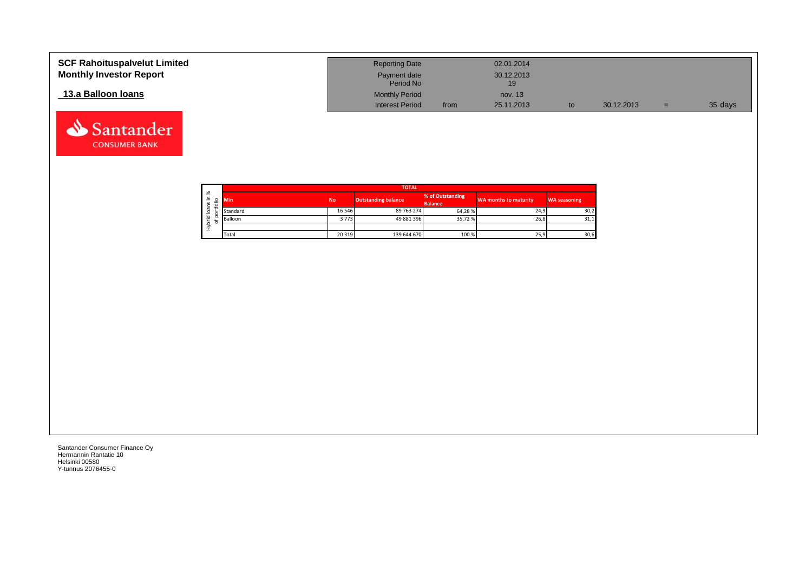| <b>SCF Rahoituspalvelut Limited</b><br><b>Monthly Investor Report</b> | <b>Reporting Date</b><br>Payment date<br>Period No |      | 02.01.2014<br>30.12.2013<br>19 |            |     |         |
|-----------------------------------------------------------------------|----------------------------------------------------|------|--------------------------------|------------|-----|---------|
| 13.a Balloon Ioans                                                    | <b>Monthly Period</b><br><b>Interest Period</b>    | from | nov. 13<br>25.11.2013          | 30.12.2013 | $=$ | 35 days |

┑

|                             |        |            |           | <b>TOTAL</b>               |                                    |                       |                     |
|-----------------------------|--------|------------|-----------|----------------------------|------------------------------------|-----------------------|---------------------|
| ৯<br>≞.<br>S<br>∽<br>ത<br>∘ | ۰      | <b>Min</b> | <b>No</b> | <b>Outstanding balance</b> | % of Outstanding<br><b>Balance</b> | WA months to maturity | <b>WA seasoning</b> |
|                             |        | Standard   | 16 5 46   | 89 763 274                 | 64.28%                             | 24,9                  | 30,2                |
| 은                           | o<br>۰ | Balloon    | 3773      | 49 881 396                 | 35,72%                             | 26,8                  | 31,1                |
| ء<br>Σ                      |        |            |           |                            |                                    |                       |                     |
|                             |        | Total      | 20 319    | 139 644 670                | 100 %                              | 25,9                  | 30,6                |

Santander Consumer Finance Oy Hermannin Rantatie 10 Helsinki 00580 Y-tunnus 2076455-0

Santander **CONSUMER BANK**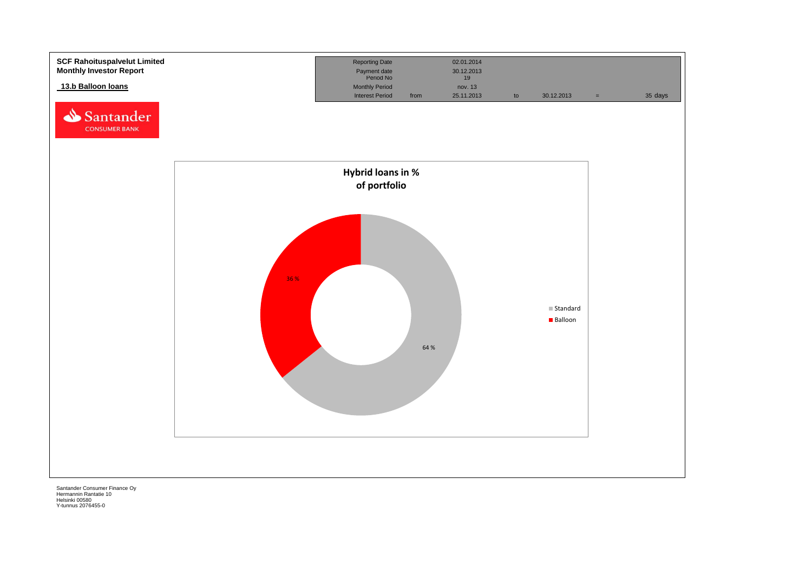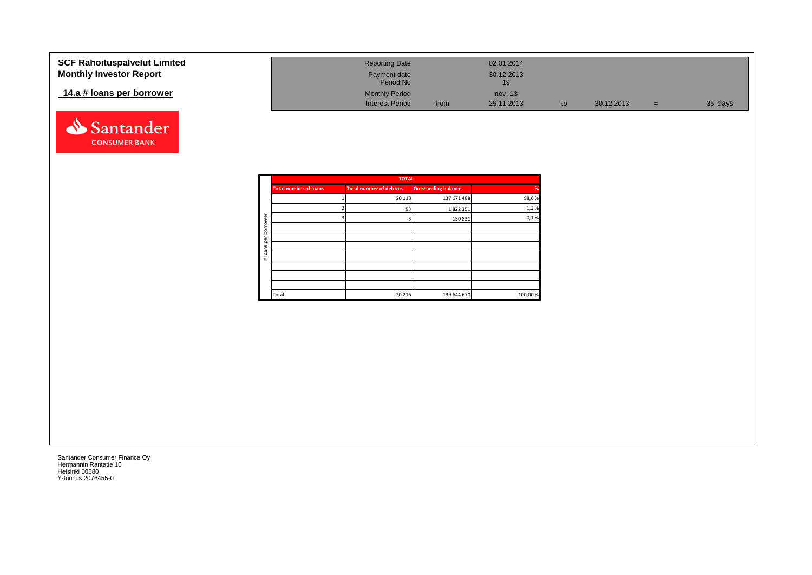| <b>SCF Rahoituspalvelut Limited</b> | <b>Reporting Date</b>     |      | 02.01.2014       |            |     |         |
|-------------------------------------|---------------------------|------|------------------|------------|-----|---------|
| <b>Monthly Investor Report</b>      | Payment date<br>Period No |      | 30.12.2013<br>19 |            |     |         |
| 14.a # loans per borrower           | <b>Monthly Period</b>     |      | nov. 13          |            |     |         |
|                                     | <b>Interest Period</b>    | from | 25.11.2013       | 30.12.2013 | $=$ | 35 days |



| <b>Total number of loans</b> |  |                                | %                                                                    |
|------------------------------|--|--------------------------------|----------------------------------------------------------------------|
|                              |  | 137 671 488                    | 98,6%                                                                |
|                              |  | 1822351                        | 1,3%                                                                 |
|                              |  | 150 831                        | 0,1%                                                                 |
|                              |  |                                |                                                                      |
|                              |  |                                |                                                                      |
|                              |  |                                |                                                                      |
|                              |  |                                |                                                                      |
|                              |  |                                |                                                                      |
|                              |  |                                |                                                                      |
|                              |  |                                |                                                                      |
| Total                        |  | 139 644 670                    | 100,00%                                                              |
|                              |  | <b>Total number of debtors</b> | <b>TOTAL</b><br><b>Outstanding balance</b><br>20 118<br>93<br>20 216 |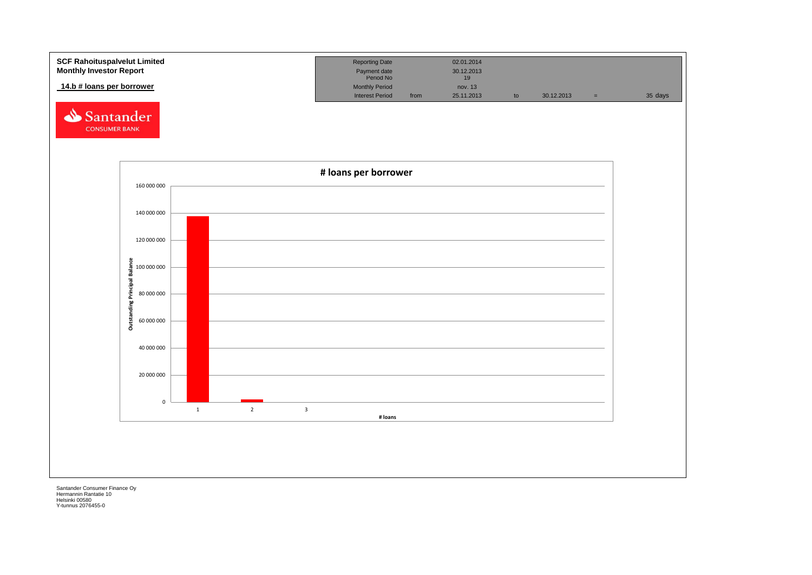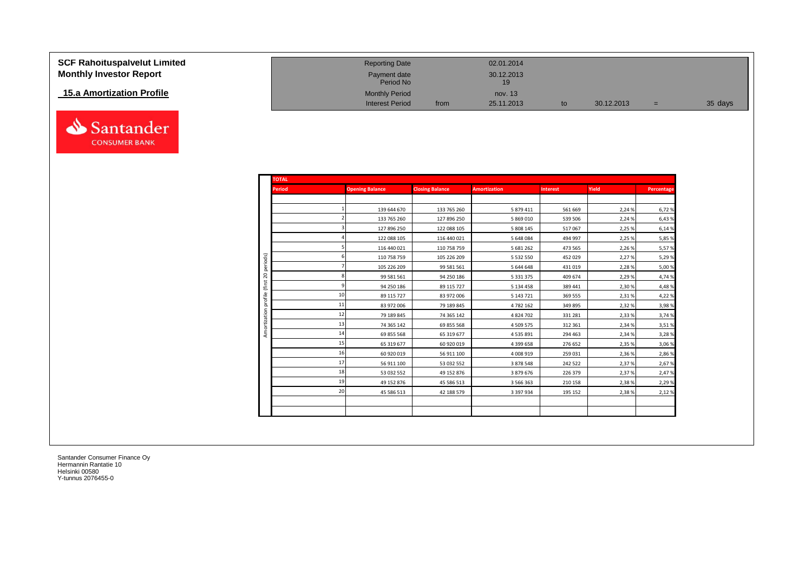| <b>SCF Rahoituspalvelut Limited</b> |
|-------------------------------------|
| <b>Monthly Investor Report</b>      |

## **15.a Amortization Profile**



| <b>SCF Rahoituspalvelut Limited</b> | <b>Reporting Date</b>     |      | 02.01.2014       |            |     |         |
|-------------------------------------|---------------------------|------|------------------|------------|-----|---------|
| <b>Monthly Investor Report</b>      | Payment date<br>Period No |      | 30.12.2013<br>19 |            |     |         |
| 15.a Amortization Profile           | <b>Monthly Period</b>     |      | nov. 13          |            |     |         |
|                                     | <b>Interest Period</b>    | from | 25.11.2013       | 30.12.2013 | $=$ | 35 days |

| <b>TOTAL</b>   |    |                        |                        |                     |                 |        |            |
|----------------|----|------------------------|------------------------|---------------------|-----------------|--------|------------|
| <b>Period</b>  |    | <b>Opening Balance</b> | <b>Closing Balance</b> | <b>Amortization</b> | <b>Interest</b> | Yield  | Percentage |
|                |    |                        |                        |                     |                 |        |            |
|                |    | 139 644 670            | 133 765 260            | 5 879 411           | 561 669         | 2,24 % | 6,72%      |
|                |    | 133 765 260            | 127 896 250            | 5 869 010           | 539 506         | 2,24 % | 6,43%      |
|                |    | 127 896 250            | 122 088 105            | 5 808 145           | 517067          | 2,25 % | 6,14%      |
|                |    | 122 088 105            | 116 440 021            | 5 648 084           | 494 997         | 2,25 % | 5,85%      |
|                |    | 116 440 021            | 110 758 759            | 5 681 262           | 473 565         | 2,26 % | 5,57%      |
|                |    | 110 758 759            | 105 226 209            | 5 5 3 2 5 5 0       | 452 029         | 2,27%  | 5,29%      |
| periods)<br>20 |    | 105 226 209            | 99 581 561             | 5 644 648           | 431 019         | 2,28%  | 5,00%      |
|                |    | 99 581 561             | 94 250 186             | 5 3 3 1 3 7 5       | 409 674         | 2,29 % | 4,74%      |
|                |    | 94 250 186             | 89 115 727             | 5 134 458           | 389 441         | 2,30 % | 4,48%      |
|                | 10 | 89 115 727             | 83 972 006             | 5 143 721           | 369 555         | 2,31%  | 4,22%      |
|                | 11 | 83 972 006             | 79 189 845             | 4782162             | 349 895         | 2,32 % | 3,98%      |
|                | 12 | 79 189 845             | 74 365 142             | 4 8 2 4 7 0 2       | 331 281         | 2,33 % | 3,74%      |
|                | 13 | 74 365 142             | 69 855 568             | 4 509 575           | 312 361         | 2,34 % | 3,51%      |
|                | 14 | 69 855 568             | 65 319 677             | 4 5 3 5 8 9 1       | 294 463         | 2,34 % | 3,28%      |
|                | 15 | 65 319 677             | 60 920 019             | 4 399 658           | 276 652         | 2,35 % | 3,06%      |
|                | 16 | 60 920 019             | 56 911 100             | 4 008 919           | 259 031         | 2,36 % | 2,86%      |
|                | 17 | 56 911 100             | 53 032 552             | 3 878 548           | 242 522         | 2,37 % | 2,67%      |
|                | 18 | 53 032 552             | 49 152 876             | 3879676             | 226 379         | 2,37 % | 2,47%      |
|                | 19 | 49 152 876             | 45 586 513             | 3 5 6 6 3 6 3       | 210 158         | 2,38%  | 2,29%      |
|                | 20 | 45 586 513             | 42 188 579             | 3 397 934           | 195 152         | 2,38%  | 2,12%      |
|                |    |                        |                        |                     |                 |        |            |
|                |    |                        |                        |                     |                 |        |            |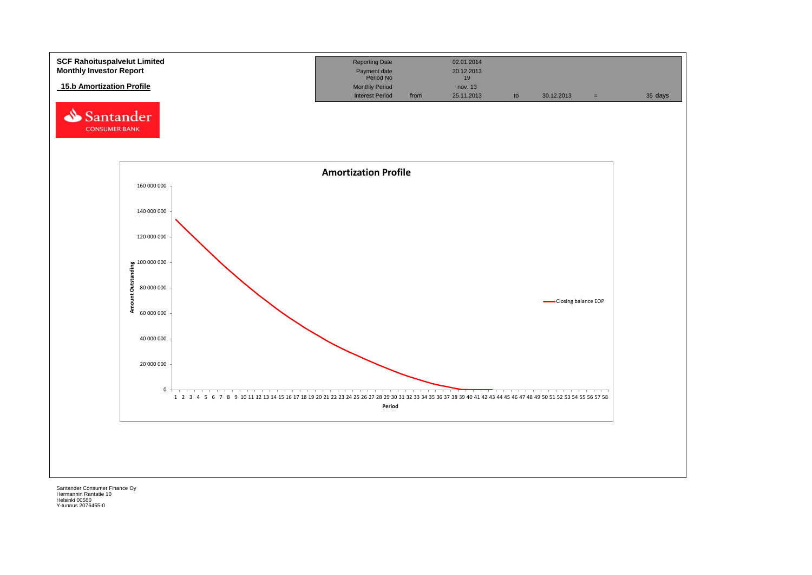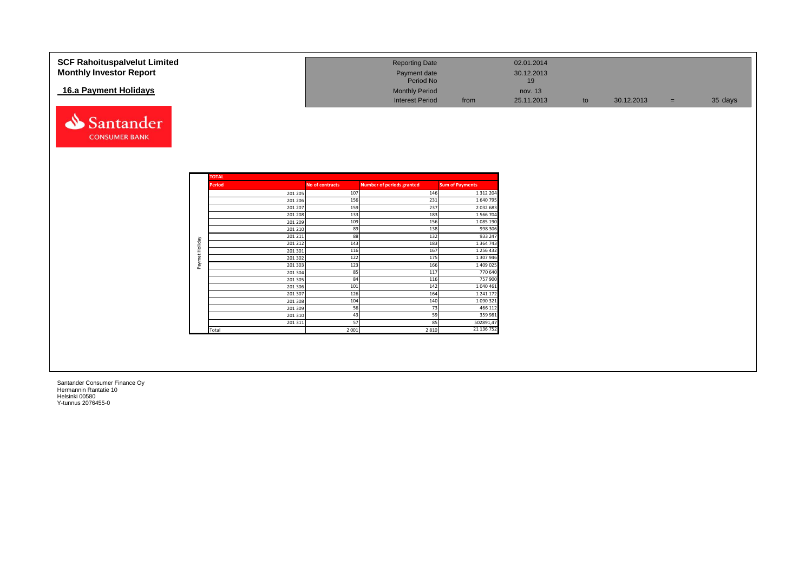| <b>SCF Rahoituspalvelut Limited</b><br><b>Monthly Investor Report</b> | <b>Reporting Date</b><br>Payment date |      | 02.01.2014<br>30.12.2013 |            |     |         |
|-----------------------------------------------------------------------|---------------------------------------|------|--------------------------|------------|-----|---------|
|                                                                       | Period No                             |      | 19                       |            |     |         |
| 16.a Payment Holidays                                                 | <b>Monthly Period</b>                 |      | nov. 13                  |            |     |         |
|                                                                       | <b>Interest Period</b>                | from | 25.11.2013               | 30.12.2013 | $=$ | 35 days |



|                | <b>TOTAL</b>  |                        |                                  |                        |
|----------------|---------------|------------------------|----------------------------------|------------------------|
|                | <b>Period</b> | <b>No of contracts</b> | <b>Number of periods granted</b> | <b>Sum of Payments</b> |
|                | 201 205       | 107                    | 146                              | 1 3 1 2 2 0 4          |
|                | 201 206       | 156                    | 231                              | 1640795                |
|                | 201 207       | 159                    | 237                              | 2 032 683              |
|                | 201 208       | 133                    | 183                              | 1 566 704              |
|                | 201 209       | 109                    | 156                              | 1 085 190              |
|                | 201 210       | 89                     | 138                              | 998 306                |
|                | 201 211       | 88                     | 132                              | 933 247                |
| Paymet Holiday | 201 212       | 143                    | 183                              | 1 3 6 4 7 4 3          |
|                | 201 301       | 116                    | 167                              | 1 256 432              |
|                | 201 302       | 122                    | 175                              | 1 307 946              |
|                | 201 303       | 123                    | 166                              | 1 409 025              |
|                | 201 304       | 85                     | 117                              | 770 640                |
|                | 201 305       | 84                     | 116                              | 757 900                |
|                | 201 306       | 101                    | 142                              | 1 040 461              |
|                | 201 307       | 126                    | 164                              | 1 241 172              |
|                | 201 308       | 104                    | 140                              | 1 090 321              |
|                | 201 309       | 56                     | 73                               | 466 112                |
|                | 201 310       | 43                     | 59                               | 359 981                |
|                | 201 311       | 57                     | 85                               | 502891,47              |
|                | Total         | 2 0 0 1                | 2810                             | 21 136 752             |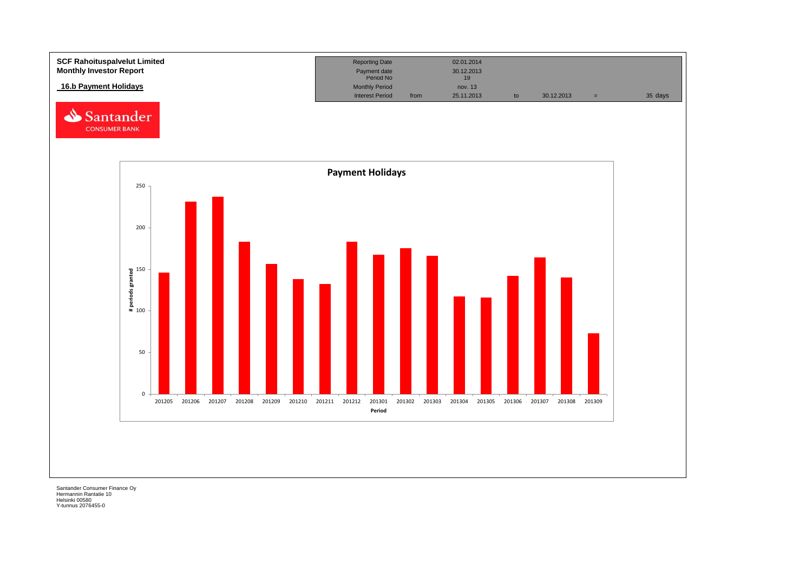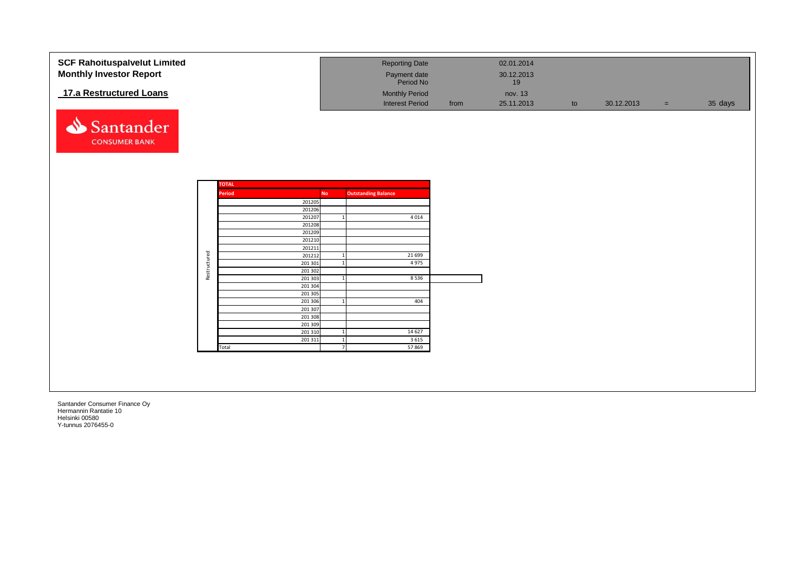| <b>SCF Rahoituspalvelut Limited</b> |              |              |                    |                | <b>Reporting Date</b>      |      | 02.01.2014 |    |            |     |         |
|-------------------------------------|--------------|--------------|--------------------|----------------|----------------------------|------|------------|----|------------|-----|---------|
| <b>Monthly Investor Report</b>      |              |              |                    |                | Payment date               |      | 30.12.2013 |    |            |     |         |
|                                     |              |              |                    |                | Period No                  |      | 19         |    |            |     |         |
| 17.a Restructured Loans             |              |              |                    |                | <b>Monthly Period</b>      |      | nov. 13    |    |            |     |         |
|                                     |              |              |                    |                | <b>Interest Period</b>     | from | 25.11.2013 | to | 30.12.2013 | $=$ | 35 days |
|                                     |              |              |                    |                |                            |      |            |    |            |     |         |
|                                     |              |              |                    |                |                            |      |            |    |            |     |         |
| Santander                           |              |              |                    |                |                            |      |            |    |            |     |         |
| <b>CONSUMER BANK</b>                |              |              |                    |                |                            |      |            |    |            |     |         |
|                                     |              |              |                    |                |                            |      |            |    |            |     |         |
|                                     |              |              |                    |                |                            |      |            |    |            |     |         |
|                                     |              |              |                    |                |                            |      |            |    |            |     |         |
|                                     |              |              |                    |                |                            |      |            |    |            |     |         |
|                                     |              | <b>TOTAL</b> |                    |                |                            |      |            |    |            |     |         |
|                                     |              | Period       | <b>No</b>          |                | <b>Outstanding Balance</b> |      |            |    |            |     |         |
|                                     |              |              | 201205<br>201206   |                |                            |      |            |    |            |     |         |
|                                     |              |              | 201207             |                | 4 0 14                     |      |            |    |            |     |         |
|                                     |              |              | 201208             |                |                            |      |            |    |            |     |         |
|                                     |              |              | 201209             |                |                            |      |            |    |            |     |         |
|                                     |              |              | 201210             |                |                            |      |            |    |            |     |         |
|                                     |              |              | 201211<br>201212   |                | 21 6 9 9                   |      |            |    |            |     |         |
|                                     |              |              | 201 301            |                | 4975                       |      |            |    |            |     |         |
|                                     | Restructured |              | 201 302            |                |                            |      |            |    |            |     |         |
|                                     |              |              | 201 303            |                | 8 5 3 6                    |      |            |    |            |     |         |
|                                     |              |              | 201 304<br>201 305 |                |                            |      |            |    |            |     |         |
|                                     |              |              | 201 306            |                | 404                        |      |            |    |            |     |         |
|                                     |              |              | 201 307            |                |                            |      |            |    |            |     |         |
|                                     |              |              | 201 308            |                |                            |      |            |    |            |     |         |
|                                     |              |              | 201 309<br>201 310 | $\mathbf{1}$   | 14 6 27                    |      |            |    |            |     |         |
|                                     |              |              | 201 311            | $\overline{1}$ | 3 6 15                     |      |            |    |            |     |         |
|                                     |              | Total        |                    | $\overline{ }$ | 57869                      |      |            |    |            |     |         |
|                                     |              |              |                    |                |                            |      |            |    |            |     |         |
|                                     |              |              |                    |                |                            |      |            |    |            |     |         |
|                                     |              |              |                    |                |                            |      |            |    |            |     |         |
|                                     |              |              |                    |                |                            |      |            |    |            |     |         |
|                                     |              |              |                    |                |                            |      |            |    |            |     |         |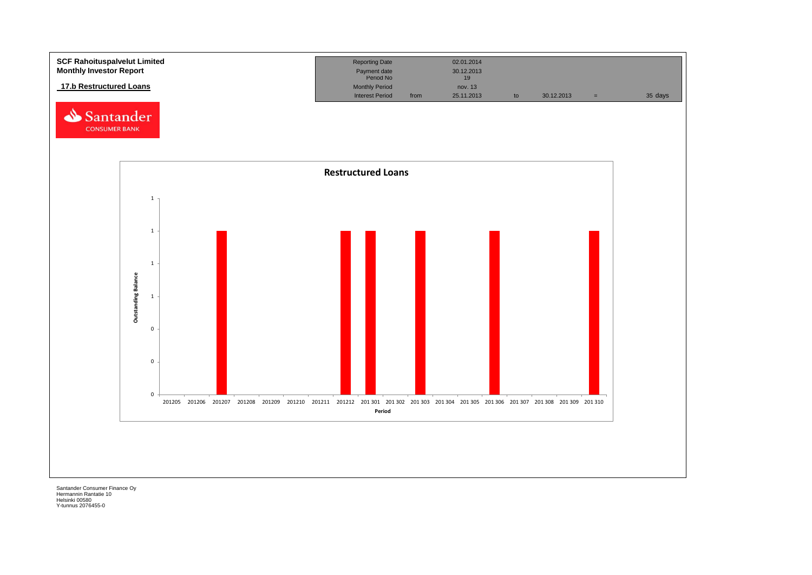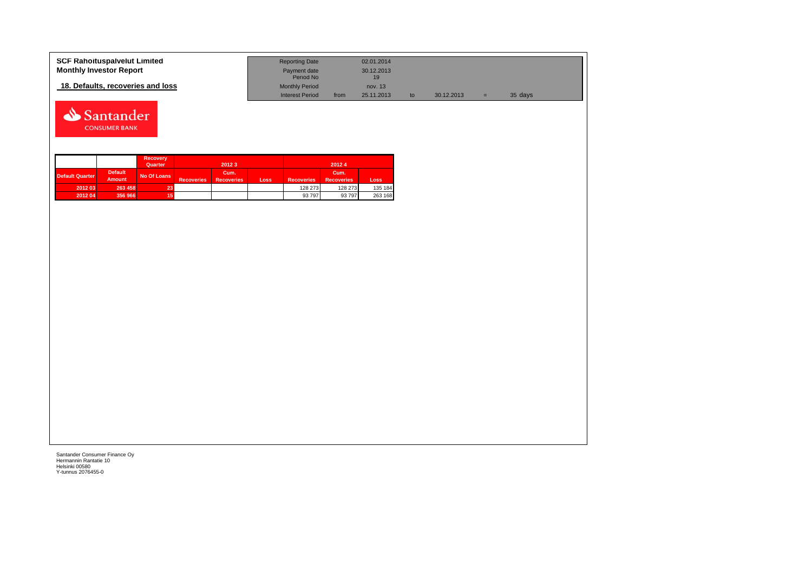| <b>SCF Rahoituspalvelut Limited</b> | <b>Reporting Date</b>     |      | 02.01.2014       |            |   |         |  |
|-------------------------------------|---------------------------|------|------------------|------------|---|---------|--|
| <b>Monthly Investor Report</b>      | Payment date<br>Period No |      | 30.12.2013<br>19 |            |   |         |  |
| 18. Defaults, recoveries and loss   | <b>Monthly Period</b>     |      | nov. 13          |            |   |         |  |
|                                     | <b>Interest Period</b>    | from | 25.11.2013       | 30.12.2013 | = | 35 days |  |



|                        |                                 | <b>Recovery</b><br>Quarter |                   | 2012 3                    |      |                   | 20124                     |         |
|------------------------|---------------------------------|----------------------------|-------------------|---------------------------|------|-------------------|---------------------------|---------|
| <b>Default Quarter</b> | <b>Default</b><br><b>Amount</b> | No Of Loans                | <b>Recoveries</b> | Cum.<br><b>Recoveries</b> | Loss | <b>Recoveries</b> | Cum.<br><b>Recoveries</b> | Loss    |
| 2012 03                | 263 458                         | 23                         |                   |                           |      | 128 273           | 128 273                   | 135 184 |
| 2012 04                | 356 966                         | 15                         |                   |                           |      | 93 797            | 93 797                    | 263 168 |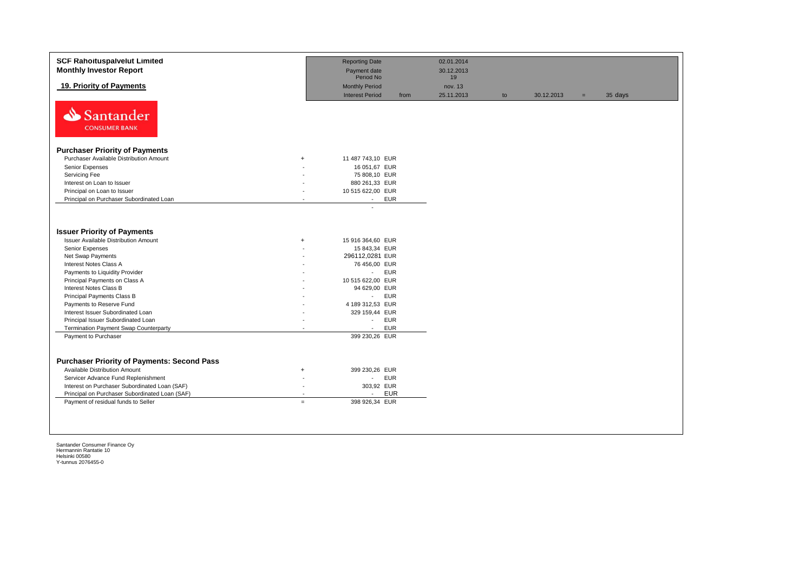| <b>SCF Rahoituspalvelut Limited</b><br><b>Monthly Investor Report</b>             |           | <b>Reporting Date</b><br>Payment date           |      | 02.01.2014<br>30.12.2013 |    |            |     |         |
|-----------------------------------------------------------------------------------|-----------|-------------------------------------------------|------|--------------------------|----|------------|-----|---------|
|                                                                                   |           | Period No                                       |      | 19                       |    |            |     |         |
| 19. Priority of Payments                                                          |           | <b>Monthly Period</b><br><b>Interest Period</b> | from | nov. 13<br>25.11.2013    | to | 30.12.2013 | $=$ | 35 days |
| Santander<br><b>CONSUMER BANK</b>                                                 |           |                                                 |      |                          |    |            |     |         |
| <b>Purchaser Priority of Payments</b>                                             |           |                                                 |      |                          |    |            |     |         |
| Purchaser Available Distribution Amount                                           | $+$       | 11 487 743,10 EUR                               |      |                          |    |            |     |         |
| Senior Expenses                                                                   |           | 16 051,67 EUR                                   |      |                          |    |            |     |         |
| Servicing Fee                                                                     |           | 75 808,10 EUR                                   |      |                          |    |            |     |         |
| Interest on Loan to Issuer                                                        |           | 880 261,33 EUR                                  |      |                          |    |            |     |         |
| Principal on Loan to Issuer                                                       |           | 10 515 622,00 EUR                               |      |                          |    |            |     |         |
| Principal on Purchaser Subordinated Loan                                          |           | <b>EUR</b><br>$\sim$                            |      |                          |    |            |     |         |
| <b>Issuer Priority of Payments</b><br><b>Issuer Available Distribution Amount</b> | $\ddot{}$ | 15 916 364,60 EUR                               |      |                          |    |            |     |         |
| Senior Expenses                                                                   |           | 15 843,34 EUR                                   |      |                          |    |            |     |         |
| Net Swap Payments                                                                 |           | 296112,0281 EUR                                 |      |                          |    |            |     |         |
| Interest Notes Class A                                                            |           | 76 456,00 EUR                                   |      |                          |    |            |     |         |
| Payments to Liquidity Provider                                                    |           | <b>EUR</b><br>$\omega_{\rm{max}}$               |      |                          |    |            |     |         |
| Principal Payments on Class A                                                     |           | 10 515 622,00 EUR                               |      |                          |    |            |     |         |
| Interest Notes Class B                                                            |           | 94 629,00 EUR                                   |      |                          |    |            |     |         |
| Principal Payments Class B                                                        |           | - EUR                                           |      |                          |    |            |     |         |
| Payments to Reserve Fund                                                          |           | 4 189 312,53 EUR                                |      |                          |    |            |     |         |
| Interest Issuer Subordinated Loan                                                 |           | 329 159,44 EUR                                  |      |                          |    |            |     |         |
| Principal Issuer Subordinated Loan                                                |           | <b>EUR</b><br>$\omega_{\rm{eff}}$               |      |                          |    |            |     |         |
| Termination Payment Swap Counterparty                                             |           | <b>EUR</b><br>$\sim$                            |      |                          |    |            |     |         |
| Payment to Purchaser                                                              |           | 399 230,26 EUR                                  |      |                          |    |            |     |         |
| <b>Purchaser Priority of Payments: Second Pass</b>                                |           |                                                 |      |                          |    |            |     |         |
| Available Distribution Amount                                                     | $\ddot{}$ | 399 230,26 EUR                                  |      |                          |    |            |     |         |
| Servicer Advance Fund Replenishment                                               |           | <b>EUR</b><br>$\sim$                            |      |                          |    |            |     |         |
| Interest on Purchaser Subordinated Loan (SAF)                                     |           | 303,92 EUR                                      |      |                          |    |            |     |         |
| Principal on Purchaser Subordinated Loan (SAF)                                    |           | <b>EUR</b><br>$\sim$                            |      |                          |    |            |     |         |
| Payment of residual funds to Seller                                               | $=$       | 398 926,34 EUR                                  |      |                          |    |            |     |         |
|                                                                                   |           |                                                 |      |                          |    |            |     |         |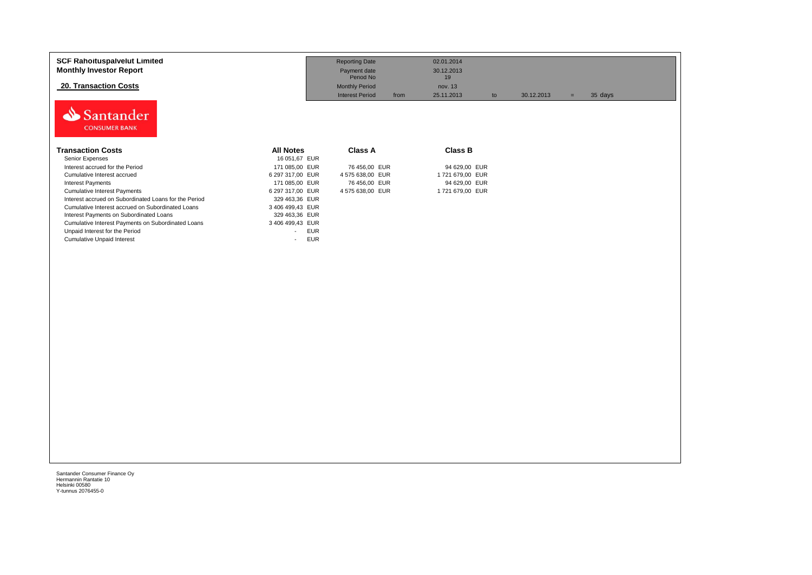| <b>SCF Rahoituspalvelut Limited</b><br><b>Monthly Investor Report</b> |                                        | <b>Reporting Date</b><br>Payment date                                | 02.01.2014<br>30.12.2013          |            |                |  |
|-----------------------------------------------------------------------|----------------------------------------|----------------------------------------------------------------------|-----------------------------------|------------|----------------|--|
| <b>20. Transaction Costs</b>                                          |                                        | Period No<br><b>Monthly Period</b><br><b>Interest Period</b><br>from | 19<br>nov. 13<br>25.11.2013<br>to | 30.12.2013 | 35 days<br>$=$ |  |
| Santander<br><b>CONSUMER BANK</b>                                     |                                        |                                                                      |                                   |            |                |  |
| <b>Transaction Costs</b>                                              | <b>All Notes</b>                       | <b>Class A</b>                                                       | <b>Class B</b>                    |            |                |  |
| Senior Expenses                                                       | 16 051,67 EUR                          |                                                                      |                                   |            |                |  |
| Interest accrued for the Period                                       | 171 085,00 EUR                         | 76 456,00 EUR                                                        | 94 629,00 EUR                     |            |                |  |
| Cumulative Interest accrued                                           | 6 297 317,00 EUR                       | 4 575 638,00 EUR                                                     | 1721 679,00 EUR                   |            |                |  |
| <b>Interest Payments</b>                                              | 171 085,00 EUR                         | 76 456,00 EUR                                                        | 94 629,00 EUR                     |            |                |  |
| <b>Cumulative Interest Payments</b>                                   | 6 297 317,00 EUR                       | 4 575 638,00 EUR                                                     | 1721 679,00 EUR                   |            |                |  |
| Interest accrued on Subordinated Loans for the Period                 | 329 463,36 EUR                         |                                                                      |                                   |            |                |  |
| Cumulative Interest accrued on Subordinated Loans                     | 3 406 499,43 EUR                       |                                                                      |                                   |            |                |  |
| Interest Payments on Subordinated Loans                               | 329 463,36 EUR                         |                                                                      |                                   |            |                |  |
| Cumulative Interest Payments on Subordinated Loans                    | 3 406 499,43 EUR                       |                                                                      |                                   |            |                |  |
| Unpaid Interest for the Period                                        | <b>EUR</b><br>$\overline{\phantom{a}}$ |                                                                      |                                   |            |                |  |
| <b>Cumulative Unpaid Interest</b>                                     | <b>EUR</b><br>$\blacksquare$           |                                                                      |                                   |            |                |  |
|                                                                       |                                        |                                                                      |                                   |            |                |  |
|                                                                       |                                        |                                                                      |                                   |            |                |  |
|                                                                       |                                        |                                                                      |                                   |            |                |  |
|                                                                       |                                        |                                                                      |                                   |            |                |  |
|                                                                       |                                        |                                                                      |                                   |            |                |  |
|                                                                       |                                        |                                                                      |                                   |            |                |  |
|                                                                       |                                        |                                                                      |                                   |            |                |  |
|                                                                       |                                        |                                                                      |                                   |            |                |  |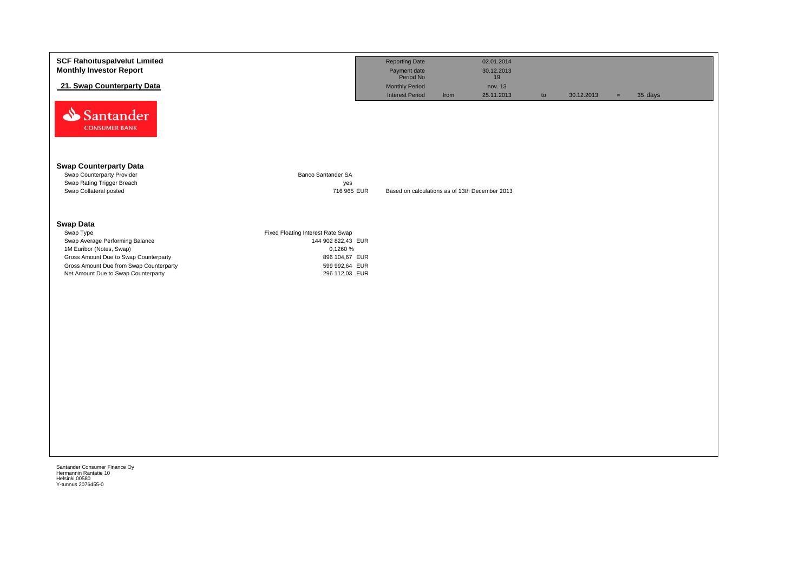| <b>SCF Rahoituspalvelut Limited</b><br><b>Monthly Investor Report</b><br>21. Swap Counterparty Data<br>Santander<br><b>CONSUMER BANK</b>                                                                                |                                                                                                                           | <b>Reporting Date</b><br>Payment date<br>Period No<br><b>Monthly Period</b><br><b>Interest Period</b><br>from | 02.01.2014<br>30.12.2013<br>19<br>nov. 13<br>25.11.2013 | to | 30.12.2013 | $=$ | 35 days |
|-------------------------------------------------------------------------------------------------------------------------------------------------------------------------------------------------------------------------|---------------------------------------------------------------------------------------------------------------------------|---------------------------------------------------------------------------------------------------------------|---------------------------------------------------------|----|------------|-----|---------|
| <b>Swap Counterparty Data</b><br>Swap Counterparty Provider<br>Swap Rating Trigger Breach<br>Swap Collateral posted                                                                                                     | Banco Santander SA<br>yes<br>716 965 EUR                                                                                  | Based on calculations as of 13th December 2013                                                                |                                                         |    |            |     |         |
| <b>Swap Data</b><br>Swap Type<br>Swap Average Performing Balance<br>1M Euribor (Notes, Swap)<br>Gross Amount Due to Swap Counterparty<br>Gross Amount Due from Swap Counterparty<br>Net Amount Due to Swap Counterparty | Fixed Floating Interest Rate Swap<br>144 902 822,43 EUR<br>0,1260 %<br>896 104,67 EUR<br>599 992,64 EUR<br>296 112,03 EUR |                                                                                                               |                                                         |    |            |     |         |

Helsinki 00580 Y-tunnus 2076455-0